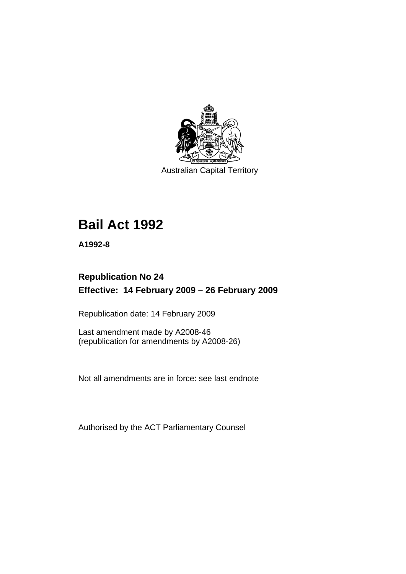

Australian Capital Territory

# **[Bail Act 1992](#page-6-0)**

**A1992-8** 

# **Republication No 24 Effective: 14 February 2009 – 26 February 2009**

Republication date: 14 February 2009

Last amendment made by A2008-46 (republication for amendments by A2008-26)

Not all amendments are in force: see last endnote

Authorised by the ACT Parliamentary Counsel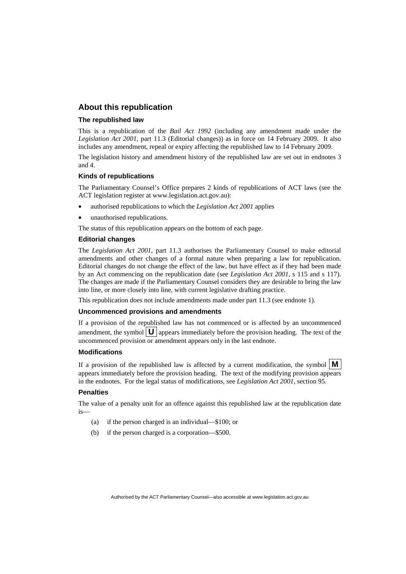#### **About this republication**

#### **The republished law**

This is a republication of the *Bail Act 1992* (including any amendment made under the *Legislation Act 2001*, part 11.3 (Editorial changes)) as in force on 14 February 2009*.* It also includes any amendment, repeal or expiry affecting the republished law to 14 February 2009.

The legislation history and amendment history of the republished law are set out in endnotes 3 and 4.

#### **Kinds of republications**

The Parliamentary Counsel's Office prepares 2 kinds of republications of ACT laws (see the ACT legislation register at www.legislation.act.gov.au):

- authorised republications to which the *Legislation Act 2001* applies
- unauthorised republications.

The status of this republication appears on the bottom of each page.

#### **Editorial changes**

The *Legislation Act 2001*, part 11.3 authorises the Parliamentary Counsel to make editorial amendments and other changes of a formal nature when preparing a law for republication. Editorial changes do not change the effect of the law, but have effect as if they had been made by an Act commencing on the republication date (see *Legislation Act 2001*, s 115 and s 117). The changes are made if the Parliamentary Counsel considers they are desirable to bring the law into line, or more closely into line, with current legislative drafting practice.

This republication does not include amendments made under part 11.3 (see endnote 1).

#### **Uncommenced provisions and amendments**

If a provision of the republished law has not commenced or is affected by an uncommenced amendment, the symbol  $\mathbf{U}$  appears immediately before the provision heading. The text of the uncommenced provision or amendment appears only in the last endnote.

#### **Modifications**

If a provision of the republished law is affected by a current modification, the symbol  $\mathbf{M}$ appears immediately before the provision heading. The text of the modifying provision appears in the endnotes. For the legal status of modifications, see *Legislation Act 2001*, section 95.

#### **Penalties**

The value of a penalty unit for an offence against this republished law at the republication date is—

- (a) if the person charged is an individual—\$100; or
- (b) if the person charged is a corporation—\$500.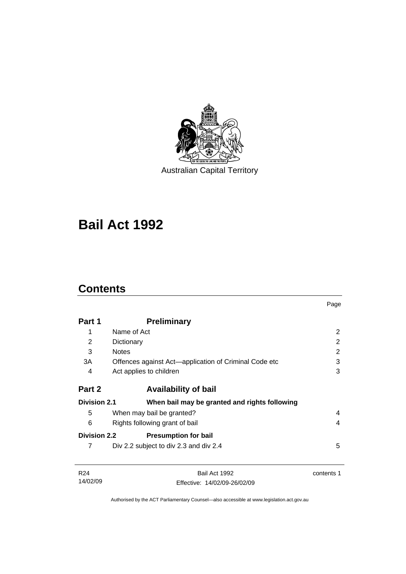

Australian Capital Territory

# **[Bail Act 1992](#page-6-0)**

# **Contents**

14/02/09

|                                                                      |                                                       | Page           |
|----------------------------------------------------------------------|-------------------------------------------------------|----------------|
| Part 1                                                               | <b>Preliminary</b>                                    |                |
| 1                                                                    | Name of Act                                           | $\overline{2}$ |
| 2                                                                    | Dictionary                                            | $\overline{2}$ |
| 3                                                                    | <b>Notes</b>                                          | $\overline{2}$ |
| 3A                                                                   | Offences against Act—application of Criminal Code etc | 3              |
| 4                                                                    | Act applies to children                               | 3              |
| Part 2                                                               | <b>Availability of bail</b>                           |                |
| <b>Division 2.1</b><br>When bail may be granted and rights following |                                                       |                |
| 5                                                                    | When may bail be granted?                             | 4              |
| 6                                                                    | Rights following grant of bail                        | 4              |
| <b>Division 2.2</b>                                                  | <b>Presumption for bail</b>                           |                |
| 7                                                                    | Div 2.2 subject to div 2.3 and div 2.4                | 5              |
| R <sub>24</sub>                                                      | Bail Act 1992                                         | contents 1     |

Authorised by the ACT Parliamentary Counsel—also accessible at www.legislation.act.gov.au

Effective: 14/02/09-26/02/09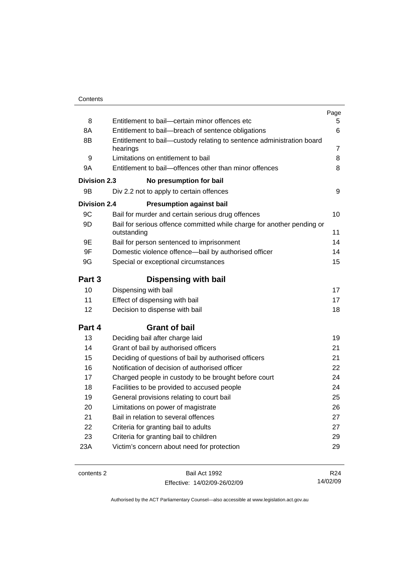|                     |                                                                                       | Page            |
|---------------------|---------------------------------------------------------------------------------------|-----------------|
| 8                   | Entitlement to bail-certain minor offences etc                                        | 5               |
| 8A                  | Entitlement to bail-breach of sentence obligations                                    | 6               |
| 8B                  | Entitlement to bail—custody relating to sentence administration board                 |                 |
|                     | hearings                                                                              | 7               |
| 9                   | Limitations on entitlement to bail                                                    | 8               |
| 9A                  | Entitlement to bail-offences other than minor offences                                | 8               |
| Division 2.3        | No presumption for bail                                                               |                 |
| 9B                  | Div 2.2 not to apply to certain offences                                              | 9               |
| <b>Division 2.4</b> | <b>Presumption against bail</b>                                                       |                 |
| 9C                  | Bail for murder and certain serious drug offences                                     | 10              |
| 9D                  | Bail for serious offence committed while charge for another pending or<br>outstanding | 11              |
| 9E                  | Bail for person sentenced to imprisonment                                             | 14              |
| 9F                  | Domestic violence offence-bail by authorised officer                                  | 14              |
| 9G                  | Special or exceptional circumstances                                                  | 15              |
|                     |                                                                                       |                 |
| Part 3              | <b>Dispensing with bail</b>                                                           |                 |
| 10                  | Dispensing with bail                                                                  | 17              |
| 11                  | Effect of dispensing with bail                                                        | 17              |
| 12                  | Decision to dispense with bail                                                        | 18              |
| Part 4              | <b>Grant of bail</b>                                                                  |                 |
| 13                  | Deciding bail after charge laid                                                       | 19              |
| 14                  | Grant of bail by authorised officers                                                  | 21              |
| 15                  | Deciding of questions of bail by authorised officers                                  | 21              |
| 16                  | Notification of decision of authorised officer                                        | 22              |
| 17                  | Charged people in custody to be brought before court                                  | 24              |
| 18                  | Facilities to be provided to accused people                                           | 24              |
| 19                  | General provisions relating to court bail                                             | 25              |
| 20                  | Limitations on power of magistrate                                                    | 26              |
| 21                  | Bail in relation to several offences                                                  | 27              |
| 22                  | Criteria for granting bail to adults                                                  | 27              |
| 23                  | Criteria for granting bail to children                                                | 29              |
| 23A                 | Victim's concern about need for protection                                            | 29              |
|                     |                                                                                       |                 |
| contents 2          | Bail Act 1992                                                                         | R <sub>24</sub> |

Effective: 14/02/09-26/02/09

R24 14/02/09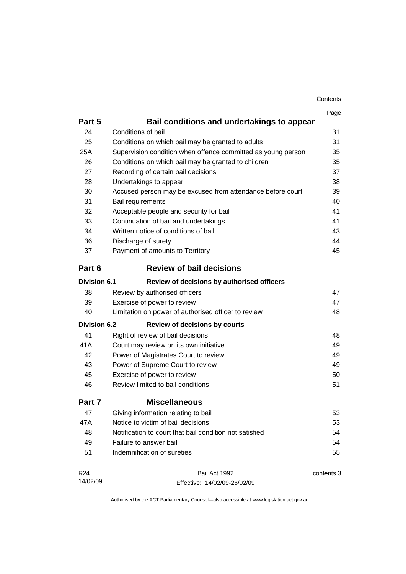| Contents |
|----------|
|----------|

|                     |                                                              | Page       |
|---------------------|--------------------------------------------------------------|------------|
| Part 5              | Bail conditions and undertakings to appear                   |            |
| 24                  | Conditions of bail                                           | 31         |
| 25                  | Conditions on which bail may be granted to adults            | 31         |
| 25A                 | Supervision condition when offence committed as young person | 35         |
| 26                  | Conditions on which bail may be granted to children          | 35         |
| 27                  | Recording of certain bail decisions                          | 37         |
| 28                  | Undertakings to appear                                       | 38         |
| 30                  | Accused person may be excused from attendance before court   | 39         |
| 31                  | Bail requirements                                            | 40         |
| 32                  | Acceptable people and security for bail                      | 41         |
| 33                  | Continuation of bail and undertakings                        | 41         |
| 34                  | Written notice of conditions of bail                         | 43         |
| 36                  | Discharge of surety                                          | 44         |
| 37                  | Payment of amounts to Territory                              | 45         |
| Part 6              | <b>Review of bail decisions</b>                              |            |
| <b>Division 6.1</b> | Review of decisions by authorised officers                   |            |
| 38                  | Review by authorised officers                                | 47         |
| 39                  | Exercise of power to review                                  | 47         |
| 40                  | Limitation on power of authorised officer to review          | 48         |
| <b>Division 6.2</b> | <b>Review of decisions by courts</b>                         |            |
| 41                  | Right of review of bail decisions                            | 48         |
| 41A                 | Court may review on its own initiative                       | 49         |
| 42                  | Power of Magistrates Court to review                         | 49         |
| 43                  | Power of Supreme Court to review                             | 49         |
| 45                  | Exercise of power to review                                  | 50         |
| 46                  | Review limited to bail conditions                            | 51         |
| Part 7              | <b>Miscellaneous</b>                                         |            |
| 47                  | Giving information relating to bail                          | 53         |
| 47A                 | Notice to victim of bail decisions                           | 53         |
| 48                  | Notification to court that bail condition not satisfied      | 54         |
| 49                  | Failure to answer bail                                       | 54         |
| 51                  | Indemnification of sureties                                  | 55         |
| R <sub>24</sub>     | Bail Act 1992                                                | contents 3 |
| 14/02/09            | Effective: 14/02/09-26/02/09                                 |            |

Effective: 14/02/09-26/02/09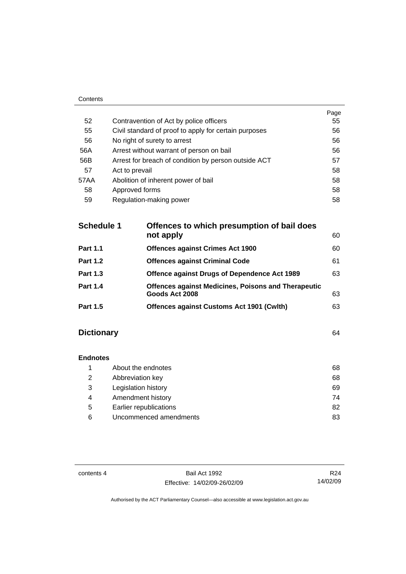| ------ |                                                       |      |
|--------|-------------------------------------------------------|------|
|        |                                                       | Page |
| 52     | Contravention of Act by police officers               | 55   |
| 55     | Civil standard of proof to apply for certain purposes | 56   |
| 56     | No right of surety to arrest                          | 56   |
| 56A    | Arrest without warrant of person on bail              | 56   |
| 56B    | Arrest for breach of condition by person outside ACT  | 57   |
| 57     | Act to prevail                                        | 58   |
| 57AA   | Abolition of inherent power of bail                   | 58   |
| 58     | Approved forms                                        | 58   |
| 59     | Regulation-making power                               | 58   |

| <b>Schedule 1</b> | Offences to which presumption of bail does<br>not apply                      | 60 |
|-------------------|------------------------------------------------------------------------------|----|
| <b>Part 1.1</b>   | <b>Offences against Crimes Act 1900</b>                                      | 60 |
| <b>Part 1.2</b>   | <b>Offences against Criminal Code</b>                                        | 61 |
| <b>Part 1.3</b>   | Offence against Drugs of Dependence Act 1989                                 | 63 |
| <b>Part 1.4</b>   | <b>Offences against Medicines, Poisons and Therapeutic</b><br>Goods Act 2008 | 63 |
| <b>Part 1.5</b>   | <b>Offences against Customs Act 1901 (Cwith)</b>                             | 63 |
|                   |                                                                              |    |

# **Dictionary** [64](#page-69-0)

Contents

# **Endnotes**

| 68 |
|----|
| 68 |
| 69 |
| 74 |
| 82 |
| 83 |
|    |

contents 4 Bail Act 1992 Effective: 14/02/09-26/02/09

R24 14/02/09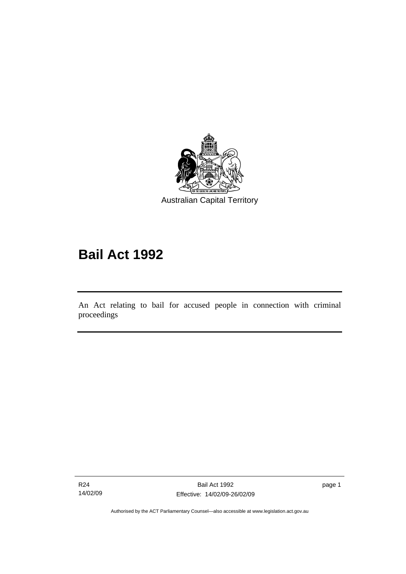<span id="page-6-0"></span>

# **Bail Act 1992**

An Act relating to bail for accused people in connection with criminal proceedings

R24 14/02/09

Ī

page 1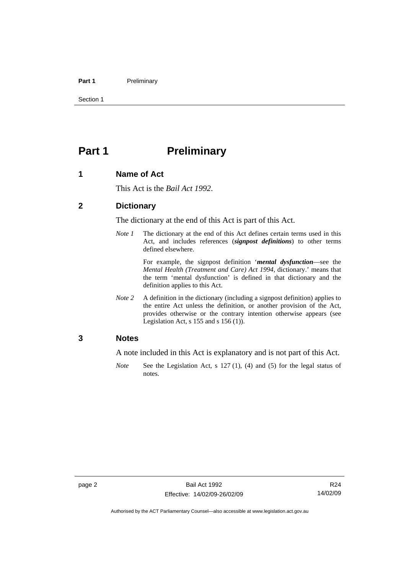#### <span id="page-7-0"></span>Part 1 **Preliminary**

Section 1

# **Part 1** Preliminary

#### **1 Name of Act**

This Act is the *Bail Act 1992*.

#### **2 Dictionary**

The dictionary at the end of this Act is part of this Act.

*Note 1* The dictionary at the end of this Act defines certain terms used in this Act, and includes references (*signpost definitions*) to other terms defined elsewhere.

> For example, the signpost definition '*mental dysfunction*—see the *Mental Health (Treatment and Care) Act 1994*, dictionary.' means that the term 'mental dysfunction' is defined in that dictionary and the definition applies to this Act.

*Note* 2 A definition in the dictionary (including a signpost definition) applies to the entire Act unless the definition, or another provision of the Act, provides otherwise or the contrary intention otherwise appears (see Legislation Act, s  $155$  and s  $156$  (1)).

#### **3 Notes**

A note included in this Act is explanatory and is not part of this Act.

*Note* See the Legislation Act, s 127 (1), (4) and (5) for the legal status of notes.

R24 14/02/09

Authorised by the ACT Parliamentary Counsel—also accessible at www.legislation.act.gov.au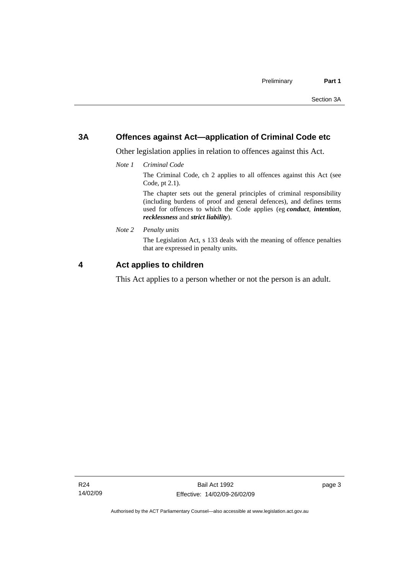### <span id="page-8-0"></span>**3A Offences against Act—application of Criminal Code etc**

Other legislation applies in relation to offences against this Act.

*Note 1 Criminal Code*

The Criminal Code, ch 2 applies to all offences against this Act (see Code, pt 2.1).

The chapter sets out the general principles of criminal responsibility (including burdens of proof and general defences), and defines terms used for offences to which the Code applies (eg *conduct*, *intention*, *recklessness* and *strict liability*).

*Note 2 Penalty units* 

The Legislation Act, s 133 deals with the meaning of offence penalties that are expressed in penalty units.

## **4 Act applies to children**

This Act applies to a person whether or not the person is an adult.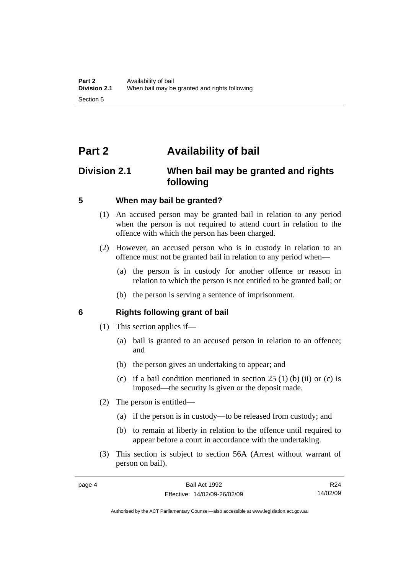# <span id="page-9-0"></span>**Part 2 Availability of bail**

# **Division 2.1 When bail may be granted and rights following**

#### **5 When may bail be granted?**

- (1) An accused person may be granted bail in relation to any period when the person is not required to attend court in relation to the offence with which the person has been charged.
- (2) However, an accused person who is in custody in relation to an offence must not be granted bail in relation to any period when—
	- (a) the person is in custody for another offence or reason in relation to which the person is not entitled to be granted bail; or
	- (b) the person is serving a sentence of imprisonment.

#### **6 Rights following grant of bail**

- (1) This section applies if—
	- (a) bail is granted to an accused person in relation to an offence; and
	- (b) the person gives an undertaking to appear; and
	- (c) if a bail condition mentioned in section  $25(1)$  (b) (ii) or (c) is imposed—the security is given or the deposit made.
- (2) The person is entitled—
	- (a) if the person is in custody—to be released from custody; and
	- (b) to remain at liberty in relation to the offence until required to appear before a court in accordance with the undertaking.
- (3) This section is subject to section 56A (Arrest without warrant of person on bail).

R24 14/02/09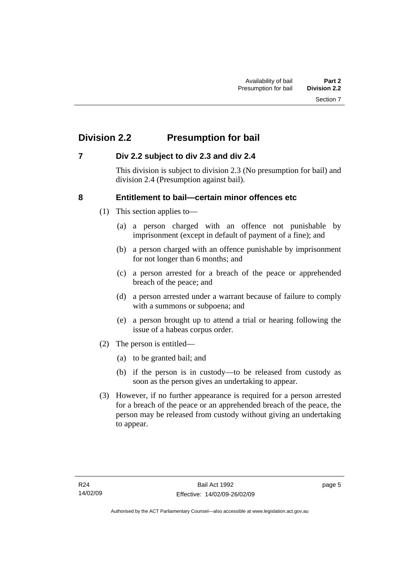# <span id="page-10-0"></span>**Division 2.2 Presumption for bail**

## **7 Div 2.2 subject to div 2.3 and div 2.4**

This division is subject to division 2.3 (No presumption for bail) and division 2.4 (Presumption against bail).

## **8 Entitlement to bail—certain minor offences etc**

- (1) This section applies to—
	- (a) a person charged with an offence not punishable by imprisonment (except in default of payment of a fine); and
	- (b) a person charged with an offence punishable by imprisonment for not longer than 6 months; and
	- (c) a person arrested for a breach of the peace or apprehended breach of the peace; and
	- (d) a person arrested under a warrant because of failure to comply with a summons or subpoena; and
	- (e) a person brought up to attend a trial or hearing following the issue of a habeas corpus order.
- (2) The person is entitled—
	- (a) to be granted bail; and
	- (b) if the person is in custody—to be released from custody as soon as the person gives an undertaking to appear.
- (3) However, if no further appearance is required for a person arrested for a breach of the peace or an apprehended breach of the peace, the person may be released from custody without giving an undertaking to appear.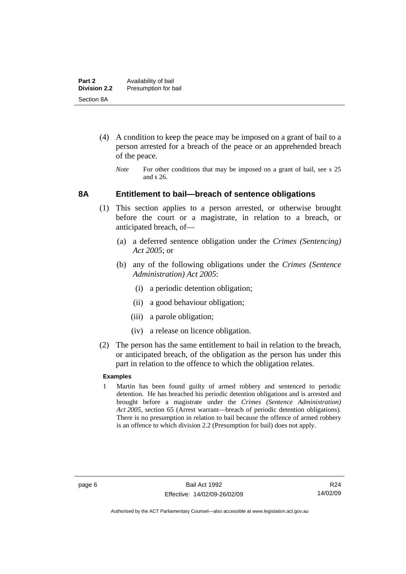- <span id="page-11-0"></span> (4) A condition to keep the peace may be imposed on a grant of bail to a person arrested for a breach of the peace or an apprehended breach of the peace.
	- *Note* For other conditions that may be imposed on a grant of bail, see s 25 and s 26.

#### **8A Entitlement to bail—breach of sentence obligations**

- (1) This section applies to a person arrested, or otherwise brought before the court or a magistrate, in relation to a breach, or anticipated breach, of—
	- (a) a deferred sentence obligation under the *Crimes (Sentencing) Act 2005*; or
	- (b) any of the following obligations under the *Crimes (Sentence Administration) Act 2005*:
		- (i) a periodic detention obligation;
		- (ii) a good behaviour obligation;
		- (iii) a parole obligation;
		- (iv) a release on licence obligation.
- (2) The person has the same entitlement to bail in relation to the breach, or anticipated breach, of the obligation as the person has under this part in relation to the offence to which the obligation relates.

#### **Examples**

1 Martin has been found guilty of armed robbery and sentenced to periodic detention. He has breached his periodic detention obligations and is arrested and brought before a magistrate under the *Crimes (Sentence Administration) Act 2005*, section 65 (Arrest warrant—breach of periodic detention obligations). There is no presumption in relation to bail because the offence of armed robbery is an offence to which division 2.2 (Presumption for bail) does not apply.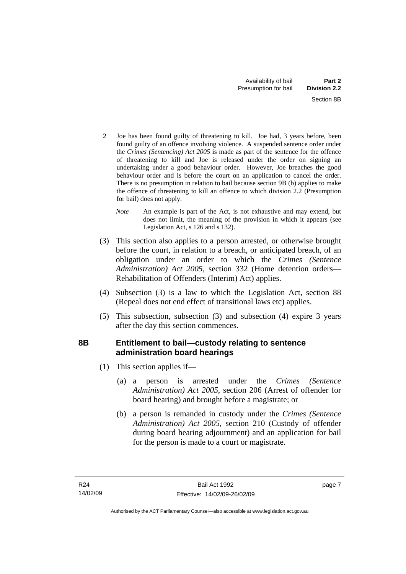- <span id="page-12-0"></span>2 Joe has been found guilty of threatening to kill. Joe had, 3 years before, been found guilty of an offence involving violence. A suspended sentence order under the *Crimes (Sentencing) Act 2005* is made as part of the sentence for the offence of threatening to kill and Joe is released under the order on signing an undertaking under a good behaviour order. However, Joe breaches the good behaviour order and is before the court on an application to cancel the order. There is no presumption in relation to bail because section 9B (b) applies to make the offence of threatening to kill an offence to which division 2.2 (Presumption for bail) does not apply.
	- *Note* An example is part of the Act, is not exhaustive and may extend, but does not limit, the meaning of the provision in which it appears (see Legislation Act, s 126 and s 132).
- (3) This section also applies to a person arrested, or otherwise brought before the court, in relation to a breach, or anticipated breach, of an obligation under an order to which the *Crimes (Sentence Administration) Act 2005*, section 332 (Home detention orders— Rehabilitation of Offenders (Interim) Act) applies.
- (4) Subsection (3) is a law to which the Legislation Act, section 88 (Repeal does not end effect of transitional laws etc) applies.
- (5) This subsection, subsection (3) and subsection (4) expire 3 years after the day this section commences.

# **8B Entitlement to bail—custody relating to sentence administration board hearings**

- (1) This section applies if—
	- (a) a person is arrested under the *Crimes (Sentence Administration) Act 2005*, section 206 (Arrest of offender for board hearing) and brought before a magistrate; or
	- (b) a person is remanded in custody under the *Crimes (Sentence Administration) Act 2005*, section 210 (Custody of offender during board hearing adjournment) and an application for bail for the person is made to a court or magistrate.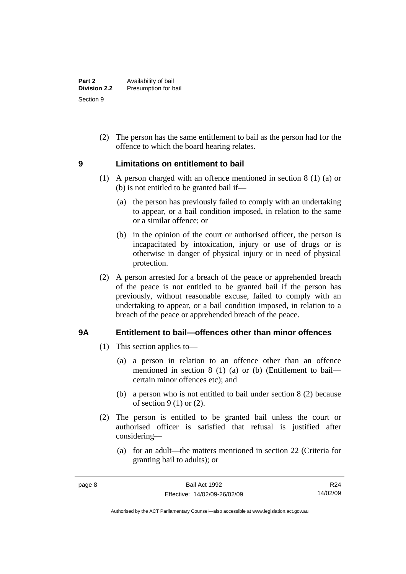<span id="page-13-0"></span> (2) The person has the same entitlement to bail as the person had for the offence to which the board hearing relates.

## **9 Limitations on entitlement to bail**

- (1) A person charged with an offence mentioned in section 8 (1) (a) or (b) is not entitled to be granted bail if—
	- (a) the person has previously failed to comply with an undertaking to appear, or a bail condition imposed, in relation to the same or a similar offence; or
	- (b) in the opinion of the court or authorised officer, the person is incapacitated by intoxication, injury or use of drugs or is otherwise in danger of physical injury or in need of physical protection.
- (2) A person arrested for a breach of the peace or apprehended breach of the peace is not entitled to be granted bail if the person has previously, without reasonable excuse, failed to comply with an undertaking to appear, or a bail condition imposed, in relation to a breach of the peace or apprehended breach of the peace.

## **9A Entitlement to bail—offences other than minor offences**

- (1) This section applies to—
	- (a) a person in relation to an offence other than an offence mentioned in section 8 (1) (a) or (b) (Entitlement to bail certain minor offences etc); and
	- (b) a person who is not entitled to bail under section 8 (2) because of section  $9(1)$  or  $(2)$ .
- (2) The person is entitled to be granted bail unless the court or authorised officer is satisfied that refusal is justified after considering—
	- (a) for an adult—the matters mentioned in section 22 (Criteria for granting bail to adults); or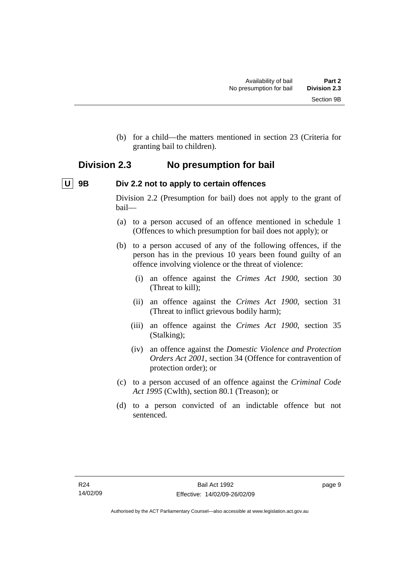<span id="page-14-0"></span> (b) for a child—the matters mentioned in section 23 (Criteria for granting bail to children).

# **Division 2.3 No presumption for bail**

# **U** 9B Div 2.2 not to apply to certain offences

Division 2.2 (Presumption for bail) does not apply to the grant of bail—

- (a) to a person accused of an offence mentioned in schedule 1 (Offences to which presumption for bail does not apply); or
- (b) to a person accused of any of the following offences, if the person has in the previous 10 years been found guilty of an offence involving violence or the threat of violence:
	- (i) an offence against the *Crimes Act 1900*, section 30 (Threat to kill);
	- (ii) an offence against the *Crimes Act 1900*, section 31 (Threat to inflict grievous bodily harm);
	- (iii) an offence against the *Crimes Act 1900*, section 35 (Stalking);
	- (iv) an offence against the *Domestic Violence and Protection Orders Act 2001*, section 34 (Offence for contravention of protection order); or
- (c) to a person accused of an offence against the *Criminal Code Act 1995* (Cwlth), section 80.1 (Treason); or
- (d) to a person convicted of an indictable offence but not sentenced.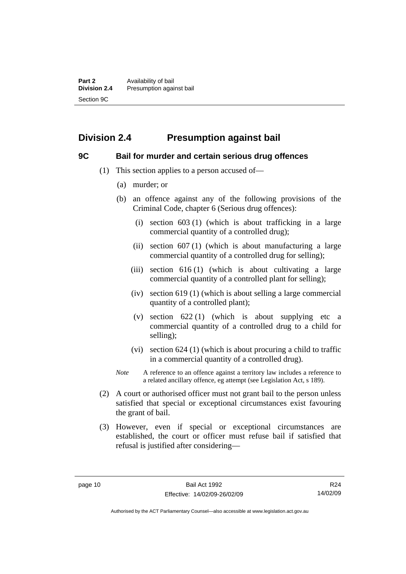# <span id="page-15-0"></span>**Division 2.4 Presumption against bail**

## **9C Bail for murder and certain serious drug offences**

- (1) This section applies to a person accused of—
	- (a) murder; or
	- (b) an offence against any of the following provisions of the Criminal Code, chapter 6 (Serious drug offences):
		- (i) section 603 (1) (which is about trafficking in a large commercial quantity of a controlled drug);
		- (ii) section  $607(1)$  (which is about manufacturing a large commercial quantity of a controlled drug for selling);
		- (iii) section  $616(1)$  (which is about cultivating a large commercial quantity of a controlled plant for selling);
		- (iv) section 619 (1) (which is about selling a large commercial quantity of a controlled plant);
		- (v) section  $622(1)$  (which is about supplying etc a commercial quantity of a controlled drug to a child for selling);
		- (vi) section 624 (1) (which is about procuring a child to traffic in a commercial quantity of a controlled drug).
	- *Note* A reference to an offence against a territory law includes a reference to a related ancillary offence, eg attempt (see Legislation Act, s 189).
- (2) A court or authorised officer must not grant bail to the person unless satisfied that special or exceptional circumstances exist favouring the grant of bail.
- (3) However, even if special or exceptional circumstances are established, the court or officer must refuse bail if satisfied that refusal is justified after considering—

R24 14/02/09

Authorised by the ACT Parliamentary Counsel—also accessible at www.legislation.act.gov.au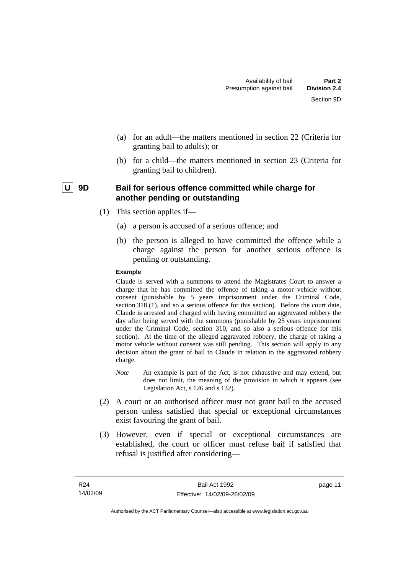- <span id="page-16-0"></span> (a) for an adult—the matters mentioned in section 22 (Criteria for granting bail to adults); or
- (b) for a child—the matters mentioned in section 23 (Criteria for granting bail to children).

## | U | 9D Bail for serious offence committed while charge for **another pending or outstanding**

- (1) This section applies if—
	- (a) a person is accused of a serious offence; and
	- (b) the person is alleged to have committed the offence while a charge against the person for another serious offence is pending or outstanding.

#### **Example**

Claude is served with a summons to attend the Magistrates Court to answer a charge that he has committed the offence of taking a motor vehicle without consent (punishable by 5 years imprisonment under the Criminal Code, section 318 (1), and so a serious offence for this section). Before the court date, Claude is arrested and charged with having committed an aggravated robbery the day after being served with the summons (punishable by 25 years imprisonment under the Criminal Code, section 310, and so also a serious offence for this section). At the time of the alleged aggravated robbery, the charge of taking a motor vehicle without consent was still pending. This section will apply to any decision about the grant of bail to Claude in relation to the aggravated robbery charge.

- *Note* An example is part of the Act, is not exhaustive and may extend, but does not limit, the meaning of the provision in which it appears (see Legislation Act, s 126 and s 132).
- (2) A court or an authorised officer must not grant bail to the accused person unless satisfied that special or exceptional circumstances exist favouring the grant of bail.
- (3) However, even if special or exceptional circumstances are established, the court or officer must refuse bail if satisfied that refusal is justified after considering—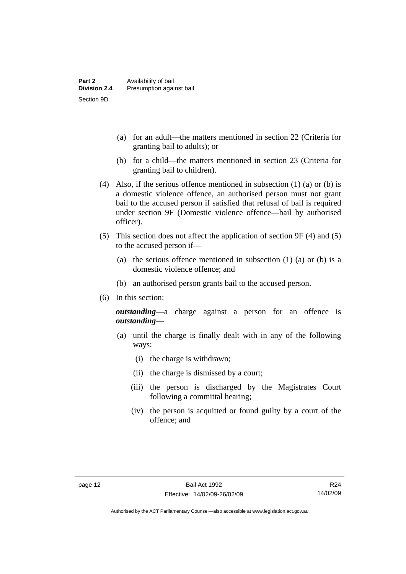- (a) for an adult—the matters mentioned in section 22 (Criteria for granting bail to adults); or
- (b) for a child—the matters mentioned in section 23 (Criteria for granting bail to children).
- (4) Also, if the serious offence mentioned in subsection (1) (a) or (b) is a domestic violence offence, an authorised person must not grant bail to the accused person if satisfied that refusal of bail is required under section 9F (Domestic violence offence—bail by authorised officer).
- (5) This section does not affect the application of section 9F (4) and (5) to the accused person if—
	- (a) the serious offence mentioned in subsection (1) (a) or (b) is a domestic violence offence; and
	- (b) an authorised person grants bail to the accused person.
- (6) In this section:

*outstanding*—a charge against a person for an offence is *outstanding*—

- (a) until the charge is finally dealt with in any of the following ways:
	- (i) the charge is withdrawn;
	- (ii) the charge is dismissed by a court;
	- (iii) the person is discharged by the Magistrates Court following a committal hearing;
	- (iv) the person is acquitted or found guilty by a court of the offence; and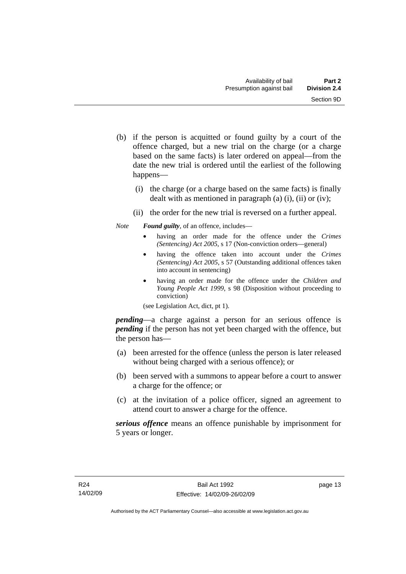- (b) if the person is acquitted or found guilty by a court of the offence charged, but a new trial on the charge (or a charge based on the same facts) is later ordered on appeal—from the date the new trial is ordered until the earliest of the following happens—
	- (i) the charge (or a charge based on the same facts) is finally dealt with as mentioned in paragraph (a)  $(i)$ ,  $(ii)$  or  $(iv)$ ;
	- (ii) the order for the new trial is reversed on a further appeal.

*Note Found guilty*, of an offence, includes—

- having an order made for the offence under the *Crimes (Sentencing) Act 2005*, s 17 (Non-conviction orders—general)
- having the offence taken into account under the *Crimes (Sentencing) Act 2005*, s 57 (Outstanding additional offences taken into account in sentencing)
- having an order made for the offence under the *Children and Young People Act 1999*, s 98 (Disposition without proceeding to conviction)

(see Legislation Act, dict, pt 1).

*pending*—a charge against a person for an serious offence is *pending* if the person has not yet been charged with the offence, but the person has—

- (a) been arrested for the offence (unless the person is later released without being charged with a serious offence); or
- (b) been served with a summons to appear before a court to answer a charge for the offence; or
- (c) at the invitation of a police officer, signed an agreement to attend court to answer a charge for the offence.

*serious offence* means an offence punishable by imprisonment for 5 years or longer.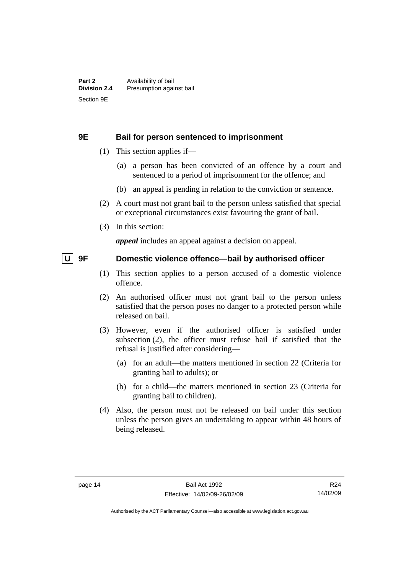#### <span id="page-19-0"></span>**9E Bail for person sentenced to imprisonment**

- (1) This section applies if—
	- (a) a person has been convicted of an offence by a court and sentenced to a period of imprisonment for the offence; and
	- (b) an appeal is pending in relation to the conviction or sentence.
- (2) A court must not grant bail to the person unless satisfied that special or exceptional circumstances exist favouring the grant of bail.
- (3) In this section:

*appeal* includes an appeal against a decision on appeal.

#### **U** 9F Domestic violence offence—bail by authorised officer

- (1) This section applies to a person accused of a domestic violence offence.
- (2) An authorised officer must not grant bail to the person unless satisfied that the person poses no danger to a protected person while released on bail.
- (3) However, even if the authorised officer is satisfied under subsection (2), the officer must refuse bail if satisfied that the refusal is justified after considering—
	- (a) for an adult—the matters mentioned in section 22 (Criteria for granting bail to adults); or
	- (b) for a child—the matters mentioned in section 23 (Criteria for granting bail to children).
- (4) Also, the person must not be released on bail under this section unless the person gives an undertaking to appear within 48 hours of being released.

R24 14/02/09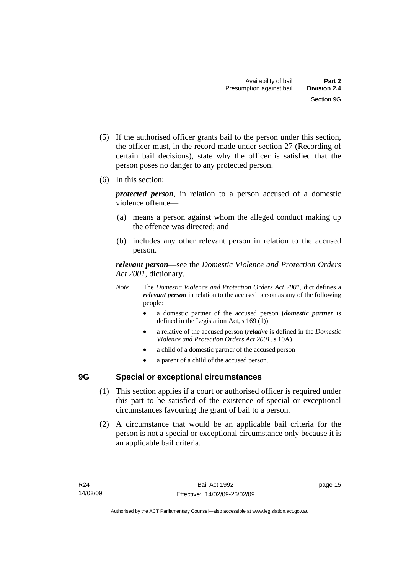- <span id="page-20-0"></span> (5) If the authorised officer grants bail to the person under this section, the officer must, in the record made under section 27 (Recording of certain bail decisions), state why the officer is satisfied that the person poses no danger to any protected person.
- (6) In this section:

*protected person*, in relation to a person accused of a domestic violence offence—

- (a) means a person against whom the alleged conduct making up the offence was directed; and
- (b) includes any other relevant person in relation to the accused person.

*relevant person*—see the *Domestic Violence and Protection Orders Act 2001*, dictionary.

- *Note* The *Domestic Violence and Protection Orders Act 2001*, dict defines a *relevant person* in relation to the accused person as any of the following people:
	- a domestic partner of the accused person (*domestic partner* is defined in the Legislation Act, s 169 (1))
	- a relative of the accused person (*relative* is defined in the *Domestic Violence and Protection Orders Act 2001*, s 10A)
	- a child of a domestic partner of the accused person
	- a parent of a child of the accused person.

# **9G Special or exceptional circumstances**

- (1) This section applies if a court or authorised officer is required under this part to be satisfied of the existence of special or exceptional circumstances favouring the grant of bail to a person.
- (2) A circumstance that would be an applicable bail criteria for the person is not a special or exceptional circumstance only because it is an applicable bail criteria.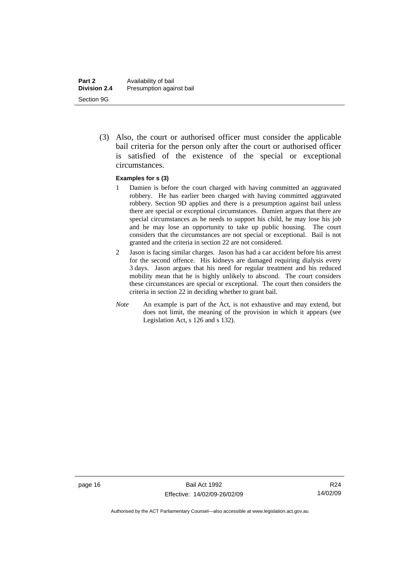(3) Also, the court or authorised officer must consider the applicable bail criteria for the person only after the court or authorised officer is satisfied of the existence of the special or exceptional circumstances.

#### **Examples for s (3)**

- 1 Damien is before the court charged with having committed an aggravated robbery. He has earlier been charged with having committed aggravated robbery. Section 9D applies and there is a presumption against bail unless there are special or exceptional circumstances. Damien argues that there are special circumstances as he needs to support his child, he may lose his job and he may lose an opportunity to take up public housing. The court considers that the circumstances are not special or exceptional. Bail is not granted and the criteria in section 22 are not considered.
- 2 Jason is facing similar charges. Jason has had a car accident before his arrest for the second offence. His kidneys are damaged requiring dialysis every 3 days. Jason argues that his need for regular treatment and his reduced mobility mean that he is highly unlikely to abscond. The court considers these circumstances are special or exceptional. The court then considers the criteria in section 22 in deciding whether to grant bail.
- *Note* An example is part of the Act, is not exhaustive and may extend, but does not limit, the meaning of the provision in which it appears (see Legislation Act, s 126 and s 132).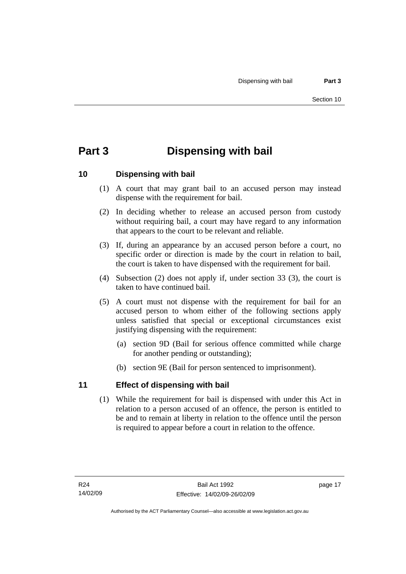# <span id="page-22-0"></span>**Part 3 Dispensing with bail**

## **10 Dispensing with bail**

- (1) A court that may grant bail to an accused person may instead dispense with the requirement for bail.
- (2) In deciding whether to release an accused person from custody without requiring bail, a court may have regard to any information that appears to the court to be relevant and reliable.
- (3) If, during an appearance by an accused person before a court, no specific order or direction is made by the court in relation to bail, the court is taken to have dispensed with the requirement for bail.
- (4) Subsection (2) does not apply if, under section 33 (3), the court is taken to have continued bail.
- (5) A court must not dispense with the requirement for bail for an accused person to whom either of the following sections apply unless satisfied that special or exceptional circumstances exist justifying dispensing with the requirement:
	- (a) section 9D (Bail for serious offence committed while charge for another pending or outstanding);
	- (b) section 9E (Bail for person sentenced to imprisonment).

## **11 Effect of dispensing with bail**

 (1) While the requirement for bail is dispensed with under this Act in relation to a person accused of an offence, the person is entitled to be and to remain at liberty in relation to the offence until the person is required to appear before a court in relation to the offence.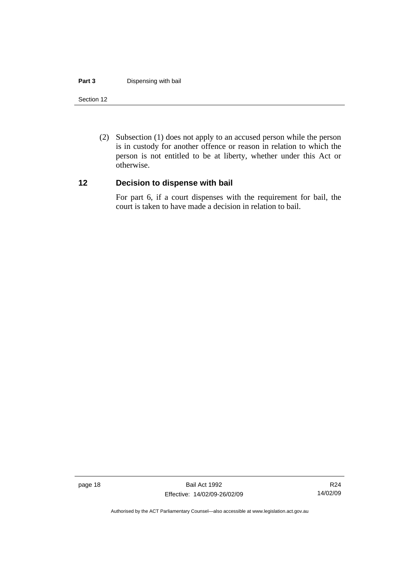#### <span id="page-23-0"></span>**Part 3** Dispensing with bail

#### Section 12

 (2) Subsection (1) does not apply to an accused person while the person is in custody for another offence or reason in relation to which the person is not entitled to be at liberty, whether under this Act or otherwise.

#### **12 Decision to dispense with bail**

For part 6, if a court dispenses with the requirement for bail, the court is taken to have made a decision in relation to bail.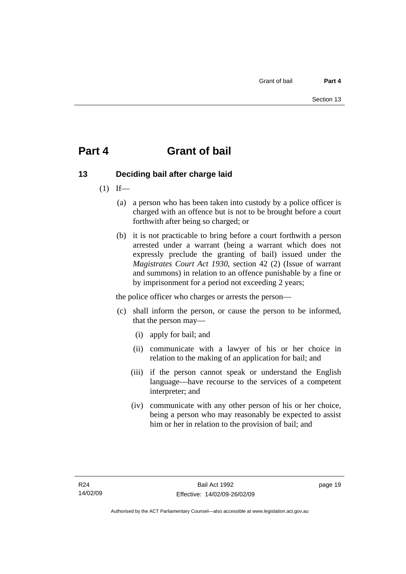# <span id="page-24-0"></span>**Part 4 Grant of bail**

# **13 Deciding bail after charge laid**

- $(1)$  If—
	- (a) a person who has been taken into custody by a police officer is charged with an offence but is not to be brought before a court forthwith after being so charged; or
	- (b) it is not practicable to bring before a court forthwith a person arrested under a warrant (being a warrant which does not expressly preclude the granting of bail) issued under the *Magistrates Court Act 1930*, section 42 (2) (Issue of warrant and summons) in relation to an offence punishable by a fine or by imprisonment for a period not exceeding 2 years;

the police officer who charges or arrests the person—

- (c) shall inform the person, or cause the person to be informed, that the person may—
	- (i) apply for bail; and
	- (ii) communicate with a lawyer of his or her choice in relation to the making of an application for bail; and
	- (iii) if the person cannot speak or understand the English language—have recourse to the services of a competent interpreter; and
	- (iv) communicate with any other person of his or her choice, being a person who may reasonably be expected to assist him or her in relation to the provision of bail; and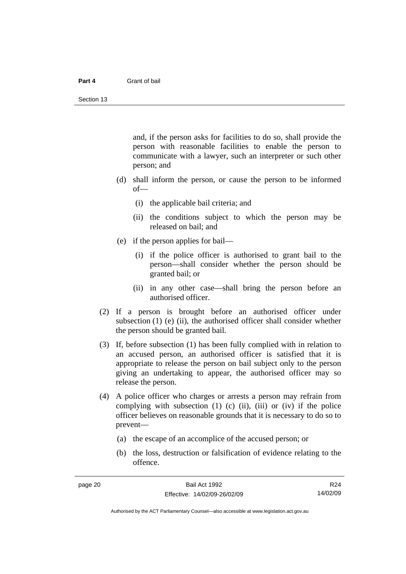#### **Part 4** Grant of bail

and, if the person asks for facilities to do so, shall provide the person with reasonable facilities to enable the person to communicate with a lawyer, such an interpreter or such other person; and

- (d) shall inform the person, or cause the person to be informed of—
	- (i) the applicable bail criteria; and
	- (ii) the conditions subject to which the person may be released on bail; and
- (e) if the person applies for bail—
	- (i) if the police officer is authorised to grant bail to the person—shall consider whether the person should be granted bail; or
	- (ii) in any other case—shall bring the person before an authorised officer.
- (2) If a person is brought before an authorised officer under subsection  $(1)$  (e)  $(ii)$ , the authorised officer shall consider whether the person should be granted bail.
- (3) If, before subsection (1) has been fully complied with in relation to an accused person, an authorised officer is satisfied that it is appropriate to release the person on bail subject only to the person giving an undertaking to appear, the authorised officer may so release the person.
- (4) A police officer who charges or arrests a person may refrain from complying with subsection  $(1)$   $(c)$   $(ii)$ ,  $(iii)$  or  $(iv)$  if the police officer believes on reasonable grounds that it is necessary to do so to prevent—
	- (a) the escape of an accomplice of the accused person; or
	- (b) the loss, destruction or falsification of evidence relating to the offence.

R24 14/02/09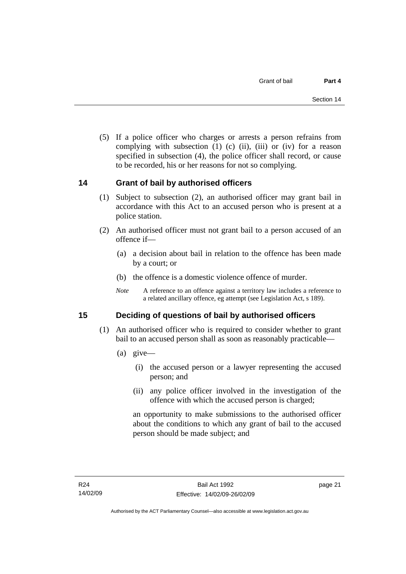<span id="page-26-0"></span> (5) If a police officer who charges or arrests a person refrains from complying with subsection  $(1)$   $(c)$   $(ii)$ ,  $(iii)$  or  $(iv)$  for a reason specified in subsection (4), the police officer shall record, or cause to be recorded, his or her reasons for not so complying.

## **14 Grant of bail by authorised officers**

- (1) Subject to subsection (2), an authorised officer may grant bail in accordance with this Act to an accused person who is present at a police station.
- (2) An authorised officer must not grant bail to a person accused of an offence if—
	- (a) a decision about bail in relation to the offence has been made by a court; or
	- (b) the offence is a domestic violence offence of murder.
	- *Note* A reference to an offence against a territory law includes a reference to a related ancillary offence, eg attempt (see Legislation Act, s 189).

## **15 Deciding of questions of bail by authorised officers**

- (1) An authorised officer who is required to consider whether to grant bail to an accused person shall as soon as reasonably practicable—
	- (a) give—
		- (i) the accused person or a lawyer representing the accused person; and
		- (ii) any police officer involved in the investigation of the offence with which the accused person is charged;

an opportunity to make submissions to the authorised officer about the conditions to which any grant of bail to the accused person should be made subject; and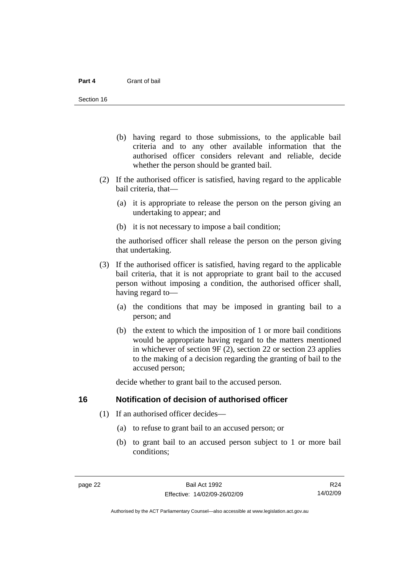- <span id="page-27-0"></span> (b) having regard to those submissions, to the applicable bail criteria and to any other available information that the authorised officer considers relevant and reliable, decide whether the person should be granted bail.
- (2) If the authorised officer is satisfied, having regard to the applicable bail criteria, that—
	- (a) it is appropriate to release the person on the person giving an undertaking to appear; and
	- (b) it is not necessary to impose a bail condition;

the authorised officer shall release the person on the person giving that undertaking.

- (3) If the authorised officer is satisfied, having regard to the applicable bail criteria, that it is not appropriate to grant bail to the accused person without imposing a condition, the authorised officer shall, having regard to—
	- (a) the conditions that may be imposed in granting bail to a person; and
	- (b) the extent to which the imposition of 1 or more bail conditions would be appropriate having regard to the matters mentioned in whichever of section 9F (2), section 22 or section 23 applies to the making of a decision regarding the granting of bail to the accused person;

decide whether to grant bail to the accused person.

#### **16 Notification of decision of authorised officer**

- (1) If an authorised officer decides—
	- (a) to refuse to grant bail to an accused person; or
	- (b) to grant bail to an accused person subject to 1 or more bail conditions;

R24 14/02/09

Authorised by the ACT Parliamentary Counsel—also accessible at www.legislation.act.gov.au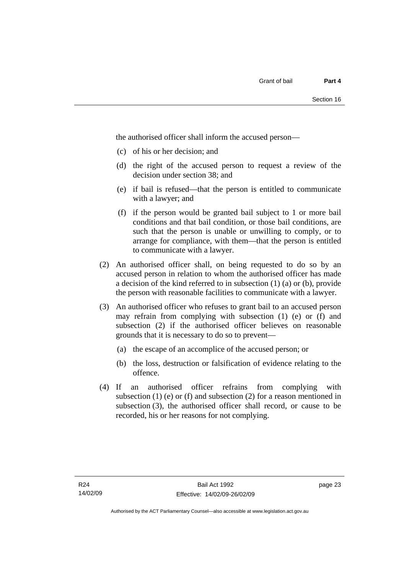the authorised officer shall inform the accused person—

- (c) of his or her decision; and
- (d) the right of the accused person to request a review of the decision under section 38; and
- (e) if bail is refused—that the person is entitled to communicate with a lawyer; and
- (f) if the person would be granted bail subject to 1 or more bail conditions and that bail condition, or those bail conditions, are such that the person is unable or unwilling to comply, or to arrange for compliance, with them—that the person is entitled to communicate with a lawyer.
- (2) An authorised officer shall, on being requested to do so by an accused person in relation to whom the authorised officer has made a decision of the kind referred to in subsection (1) (a) or (b), provide the person with reasonable facilities to communicate with a lawyer.
- (3) An authorised officer who refuses to grant bail to an accused person may refrain from complying with subsection (1) (e) or (f) and subsection (2) if the authorised officer believes on reasonable grounds that it is necessary to do so to prevent—
	- (a) the escape of an accomplice of the accused person; or
	- (b) the loss, destruction or falsification of evidence relating to the offence.
- (4) If an authorised officer refrains from complying with subsection  $(1)$  (e) or  $(f)$  and subsection  $(2)$  for a reason mentioned in subsection (3), the authorised officer shall record, or cause to be recorded, his or her reasons for not complying.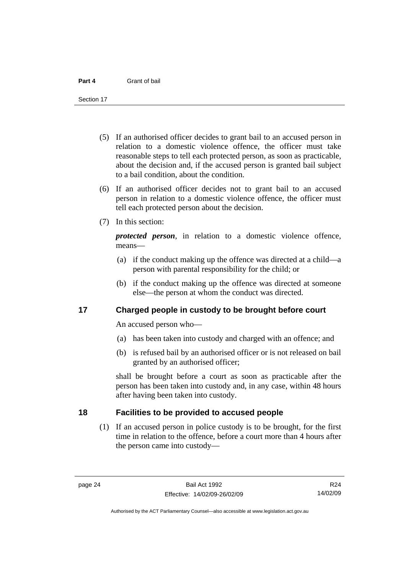<span id="page-29-0"></span>Section 17

- (5) If an authorised officer decides to grant bail to an accused person in relation to a domestic violence offence, the officer must take reasonable steps to tell each protected person, as soon as practicable, about the decision and, if the accused person is granted bail subject to a bail condition, about the condition.
- (6) If an authorised officer decides not to grant bail to an accused person in relation to a domestic violence offence, the officer must tell each protected person about the decision.
- (7) In this section:

*protected person*, in relation to a domestic violence offence, means—

- (a) if the conduct making up the offence was directed at a child—a person with parental responsibility for the child; or
- (b) if the conduct making up the offence was directed at someone else—the person at whom the conduct was directed.

#### **17 Charged people in custody to be brought before court**

An accused person who—

- (a) has been taken into custody and charged with an offence; and
- (b) is refused bail by an authorised officer or is not released on bail granted by an authorised officer;

shall be brought before a court as soon as practicable after the person has been taken into custody and, in any case, within 48 hours after having been taken into custody.

### **18 Facilities to be provided to accused people**

 (1) If an accused person in police custody is to be brought, for the first time in relation to the offence, before a court more than 4 hours after the person came into custody—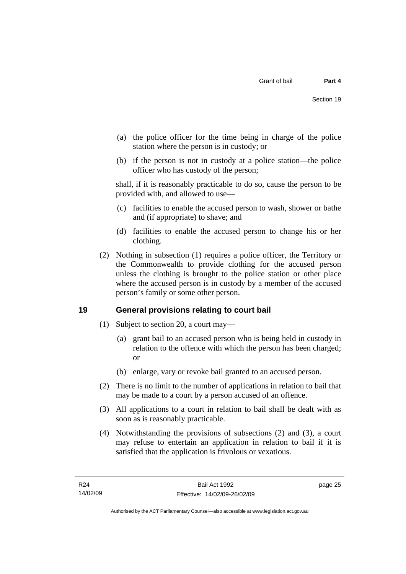- <span id="page-30-0"></span> (a) the police officer for the time being in charge of the police station where the person is in custody; or
- (b) if the person is not in custody at a police station—the police officer who has custody of the person;

shall, if it is reasonably practicable to do so, cause the person to be provided with, and allowed to use—

- (c) facilities to enable the accused person to wash, shower or bathe and (if appropriate) to shave; and
- (d) facilities to enable the accused person to change his or her clothing.
- (2) Nothing in subsection (1) requires a police officer, the Territory or the Commonwealth to provide clothing for the accused person unless the clothing is brought to the police station or other place where the accused person is in custody by a member of the accused person's family or some other person.

## **19 General provisions relating to court bail**

- (1) Subject to section 20, a court may—
	- (a) grant bail to an accused person who is being held in custody in relation to the offence with which the person has been charged; or
	- (b) enlarge, vary or revoke bail granted to an accused person.
- (2) There is no limit to the number of applications in relation to bail that may be made to a court by a person accused of an offence.
- (3) All applications to a court in relation to bail shall be dealt with as soon as is reasonably practicable.
- (4) Notwithstanding the provisions of subsections (2) and (3), a court may refuse to entertain an application in relation to bail if it is satisfied that the application is frivolous or vexatious.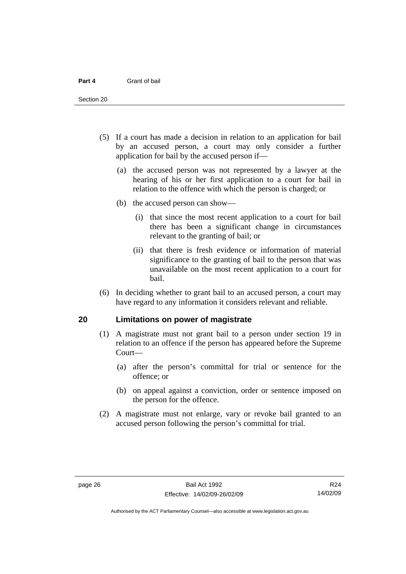<span id="page-31-0"></span>Section 20

- (5) If a court has made a decision in relation to an application for bail by an accused person, a court may only consider a further application for bail by the accused person if—
	- (a) the accused person was not represented by a lawyer at the hearing of his or her first application to a court for bail in relation to the offence with which the person is charged; or
	- (b) the accused person can show—
		- (i) that since the most recent application to a court for bail there has been a significant change in circumstances relevant to the granting of bail; or
		- (ii) that there is fresh evidence or information of material significance to the granting of bail to the person that was unavailable on the most recent application to a court for bail.
- (6) In deciding whether to grant bail to an accused person, a court may have regard to any information it considers relevant and reliable.

#### **20 Limitations on power of magistrate**

- (1) A magistrate must not grant bail to a person under section 19 in relation to an offence if the person has appeared before the Supreme Court—
	- (a) after the person's committal for trial or sentence for the offence; or
	- (b) on appeal against a conviction, order or sentence imposed on the person for the offence.
- (2) A magistrate must not enlarge, vary or revoke bail granted to an accused person following the person's committal for trial.

Authorised by the ACT Parliamentary Counsel—also accessible at www.legislation.act.gov.au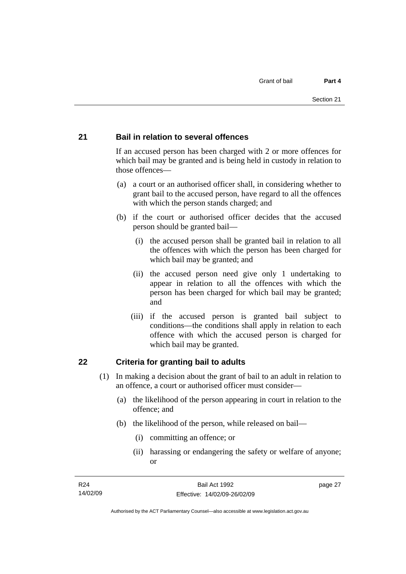#### <span id="page-32-0"></span>**21 Bail in relation to several offences**

If an accused person has been charged with 2 or more offences for which bail may be granted and is being held in custody in relation to those offences—

- (a) a court or an authorised officer shall, in considering whether to grant bail to the accused person, have regard to all the offences with which the person stands charged; and
- (b) if the court or authorised officer decides that the accused person should be granted bail—
	- (i) the accused person shall be granted bail in relation to all the offences with which the person has been charged for which bail may be granted; and
	- (ii) the accused person need give only 1 undertaking to appear in relation to all the offences with which the person has been charged for which bail may be granted; and
	- (iii) if the accused person is granted bail subject to conditions—the conditions shall apply in relation to each offence with which the accused person is charged for which bail may be granted.

#### **22 Criteria for granting bail to adults**

- (1) In making a decision about the grant of bail to an adult in relation to an offence, a court or authorised officer must consider—
	- (a) the likelihood of the person appearing in court in relation to the offence; and
	- (b) the likelihood of the person, while released on bail—
		- (i) committing an offence; or
		- (ii) harassing or endangering the safety or welfare of anyone; or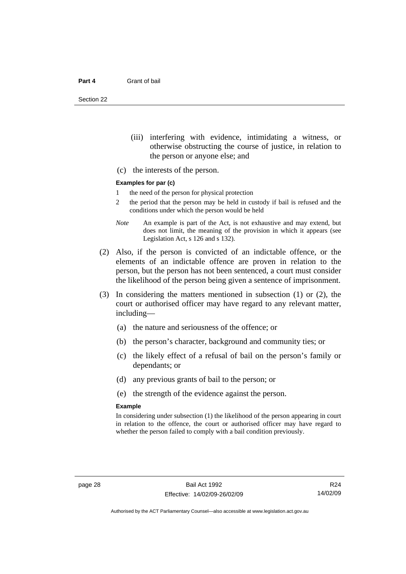Section 22

- (iii) interfering with evidence, intimidating a witness, or otherwise obstructing the course of justice, in relation to the person or anyone else; and
- (c) the interests of the person.

#### **Examples for par (c)**

- 1 the need of the person for physical protection
- 2 the period that the person may be held in custody if bail is refused and the conditions under which the person would be held
- *Note* An example is part of the Act, is not exhaustive and may extend, but does not limit, the meaning of the provision in which it appears (see Legislation Act, s 126 and s 132).
- (2) Also, if the person is convicted of an indictable offence, or the elements of an indictable offence are proven in relation to the person, but the person has not been sentenced, a court must consider the likelihood of the person being given a sentence of imprisonment.
- (3) In considering the matters mentioned in subsection (1) or (2), the court or authorised officer may have regard to any relevant matter, including—
	- (a) the nature and seriousness of the offence; or
	- (b) the person's character, background and community ties; or
	- (c) the likely effect of a refusal of bail on the person's family or dependants; or
	- (d) any previous grants of bail to the person; or
	- (e) the strength of the evidence against the person.

#### **Example**

In considering under subsection (1) the likelihood of the person appearing in court in relation to the offence, the court or authorised officer may have regard to whether the person failed to comply with a bail condition previously.

R24 14/02/09

Authorised by the ACT Parliamentary Counsel—also accessible at www.legislation.act.gov.au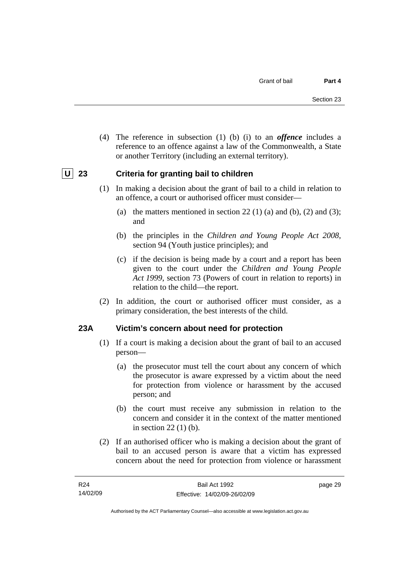<span id="page-34-0"></span> (4) The reference in subsection (1) (b) (i) to an *offence* includes a reference to an offence against a law of the Commonwealth, a State or another Territory (including an external territory).

## **U** 23 Criteria for granting bail to children

- (1) In making a decision about the grant of bail to a child in relation to an offence, a court or authorised officer must consider—
	- (a) the matters mentioned in section 22 (1) (a) and (b), (2) and (3); and
	- (b) the principles in the *Children and Young People Act 2008*, section 94 (Youth justice principles); and
	- (c) if the decision is being made by a court and a report has been given to the court under the *Children and Young People Act 1999*, section 73 (Powers of court in relation to reports) in relation to the child—the report.
- (2) In addition, the court or authorised officer must consider, as a primary consideration, the best interests of the child.

#### **23A Victim's concern about need for protection**

- (1) If a court is making a decision about the grant of bail to an accused person—
	- (a) the prosecutor must tell the court about any concern of which the prosecutor is aware expressed by a victim about the need for protection from violence or harassment by the accused person; and
	- (b) the court must receive any submission in relation to the concern and consider it in the context of the matter mentioned in section 22 (1) (b).
- (2) If an authorised officer who is making a decision about the grant of bail to an accused person is aware that a victim has expressed concern about the need for protection from violence or harassment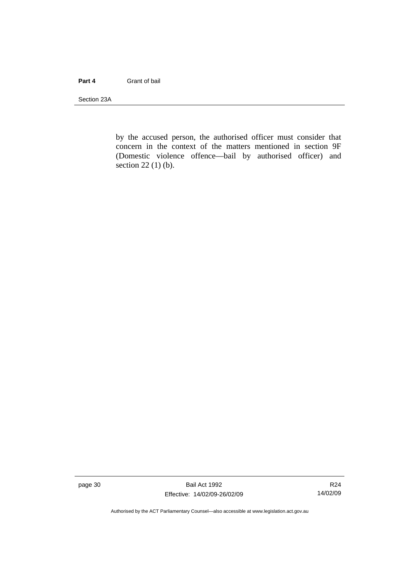#### **Part 4** Grant of bail

Section 23A

by the accused person, the authorised officer must consider that concern in the context of the matters mentioned in section 9F (Domestic violence offence—bail by authorised officer) and section 22 (1) (b).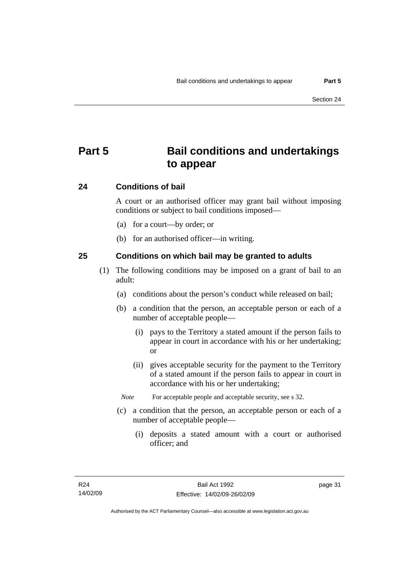# **Part 5 Bail conditions and undertakings to appear**

## **24 Conditions of bail**

A court or an authorised officer may grant bail without imposing conditions or subject to bail conditions imposed—

- (a) for a court—by order; or
- (b) for an authorised officer—in writing.

## **25 Conditions on which bail may be granted to adults**

- (1) The following conditions may be imposed on a grant of bail to an adult:
	- (a) conditions about the person's conduct while released on bail;
	- (b) a condition that the person, an acceptable person or each of a number of acceptable people—
		- (i) pays to the Territory a stated amount if the person fails to appear in court in accordance with his or her undertaking; or
		- (ii) gives acceptable security for the payment to the Territory of a stated amount if the person fails to appear in court in accordance with his or her undertaking;
		- *Note* For acceptable people and acceptable security, see s 32.
	- (c) a condition that the person, an acceptable person or each of a number of acceptable people—
		- (i) deposits a stated amount with a court or authorised officer; and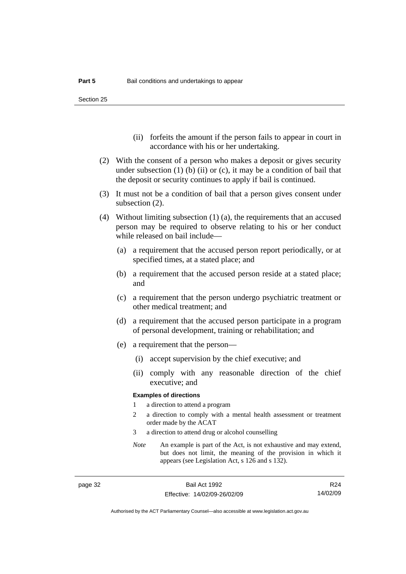Section 25

- (ii) forfeits the amount if the person fails to appear in court in accordance with his or her undertaking.
- (2) With the consent of a person who makes a deposit or gives security under subsection  $(1)$  (b)  $(ii)$  or  $(c)$ , it may be a condition of bail that the deposit or security continues to apply if bail is continued.
- (3) It must not be a condition of bail that a person gives consent under subsection (2).
- (4) Without limiting subsection (1) (a), the requirements that an accused person may be required to observe relating to his or her conduct while released on bail include—
	- (a) a requirement that the accused person report periodically, or at specified times, at a stated place; and
	- (b) a requirement that the accused person reside at a stated place; and
	- (c) a requirement that the person undergo psychiatric treatment or other medical treatment; and
	- (d) a requirement that the accused person participate in a program of personal development, training or rehabilitation; and
	- (e) a requirement that the person—
		- (i) accept supervision by the chief executive; and
		- (ii) comply with any reasonable direction of the chief executive; and

#### **Examples of directions**

- 1 a direction to attend a program
- 2 a direction to comply with a mental health assessment or treatment order made by the ACAT
- 3 a direction to attend drug or alcohol counselling
- *Note* An example is part of the Act, is not exhaustive and may extend, but does not limit, the meaning of the provision in which it appears (see Legislation Act, s 126 and s 132).

R24 14/02/09

Authorised by the ACT Parliamentary Counsel—also accessible at www.legislation.act.gov.au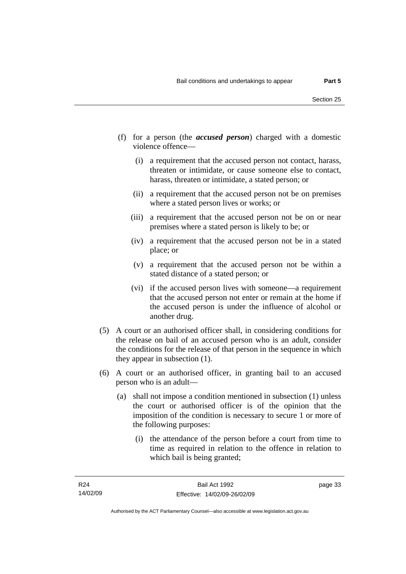- (f) for a person (the *accused person*) charged with a domestic violence offence—
	- (i) a requirement that the accused person not contact, harass, threaten or intimidate, or cause someone else to contact, harass, threaten or intimidate, a stated person; or
	- (ii) a requirement that the accused person not be on premises where a stated person lives or works; or
	- (iii) a requirement that the accused person not be on or near premises where a stated person is likely to be; or
	- (iv) a requirement that the accused person not be in a stated place; or
	- (v) a requirement that the accused person not be within a stated distance of a stated person; or
	- (vi) if the accused person lives with someone—a requirement that the accused person not enter or remain at the home if the accused person is under the influence of alcohol or another drug.
- (5) A court or an authorised officer shall, in considering conditions for the release on bail of an accused person who is an adult, consider the conditions for the release of that person in the sequence in which they appear in subsection (1).
- (6) A court or an authorised officer, in granting bail to an accused person who is an adult—
	- (a) shall not impose a condition mentioned in subsection (1) unless the court or authorised officer is of the opinion that the imposition of the condition is necessary to secure 1 or more of the following purposes:
		- (i) the attendance of the person before a court from time to time as required in relation to the offence in relation to which bail is being granted;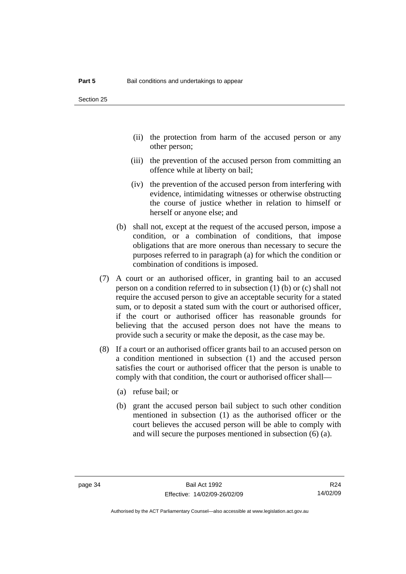- (ii) the protection from harm of the accused person or any other person;
- (iii) the prevention of the accused person from committing an offence while at liberty on bail;
- (iv) the prevention of the accused person from interfering with evidence, intimidating witnesses or otherwise obstructing the course of justice whether in relation to himself or herself or anyone else; and
- (b) shall not, except at the request of the accused person, impose a condition, or a combination of conditions, that impose obligations that are more onerous than necessary to secure the purposes referred to in paragraph (a) for which the condition or combination of conditions is imposed.
- (7) A court or an authorised officer, in granting bail to an accused person on a condition referred to in subsection (1) (b) or (c) shall not require the accused person to give an acceptable security for a stated sum, or to deposit a stated sum with the court or authorised officer, if the court or authorised officer has reasonable grounds for believing that the accused person does not have the means to provide such a security or make the deposit, as the case may be.
- (8) If a court or an authorised officer grants bail to an accused person on a condition mentioned in subsection (1) and the accused person satisfies the court or authorised officer that the person is unable to comply with that condition, the court or authorised officer shall—
	- (a) refuse bail; or
	- (b) grant the accused person bail subject to such other condition mentioned in subsection (1) as the authorised officer or the court believes the accused person will be able to comply with and will secure the purposes mentioned in subsection (6) (a).

R24 14/02/09

Authorised by the ACT Parliamentary Counsel—also accessible at www.legislation.act.gov.au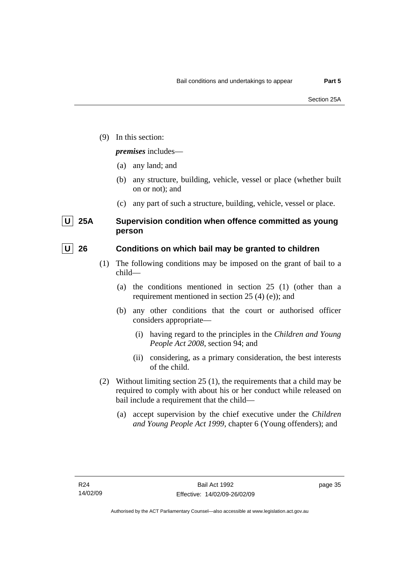(9) In this section:

## *premises* includes—

- (a) any land; and
- (b) any structure, building, vehicle, vessel or place (whether built on or not); and
- (c) any part of such a structure, building, vehicle, vessel or place.

## **U** 25A Supervision condition when offence committed as young **person**

## **U** 26 Conditions on which bail may be granted to children

- (1) The following conditions may be imposed on the grant of bail to a child—
	- (a) the conditions mentioned in section 25 (1) (other than a requirement mentioned in section 25 (4) (e)); and
	- (b) any other conditions that the court or authorised officer considers appropriate—
		- (i) having regard to the principles in the *Children and Young People Act 2008*, section 94; and
		- (ii) considering, as a primary consideration, the best interests of the child.
- (2) Without limiting section 25 (1), the requirements that a child may be required to comply with about his or her conduct while released on bail include a requirement that the child—
	- (a) accept supervision by the chief executive under the *Children and Young People Act 1999,* chapter 6 (Young offenders); and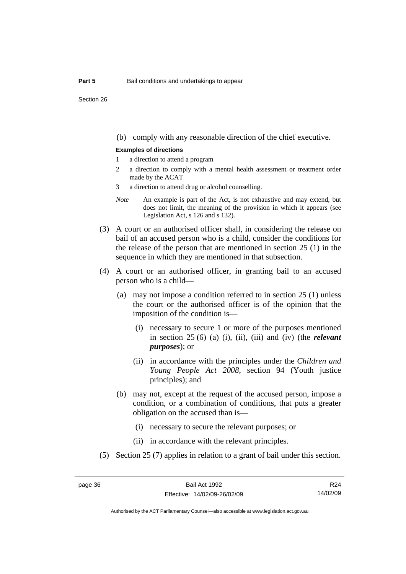(b) comply with any reasonable direction of the chief executive.

#### **Examples of directions**

- 1 a direction to attend a program
- 2 a direction to comply with a mental health assessment or treatment order made by the ACAT
- 3 a direction to attend drug or alcohol counselling.
- *Note* An example is part of the Act, is not exhaustive and may extend, but does not limit, the meaning of the provision in which it appears (see Legislation Act, s 126 and s 132).
- (3) A court or an authorised officer shall, in considering the release on bail of an accused person who is a child, consider the conditions for the release of the person that are mentioned in section 25 (1) in the sequence in which they are mentioned in that subsection.
- (4) A court or an authorised officer, in granting bail to an accused person who is a child—
	- (a) may not impose a condition referred to in section 25 (1) unless the court or the authorised officer is of the opinion that the imposition of the condition is—
		- (i) necessary to secure 1 or more of the purposes mentioned in section 25 (6) (a) (i), (ii), (iii) and (iv) (the *relevant purposes*); or
		- (ii) in accordance with the principles under the *Children and Young People Act 2008*, section 94 (Youth justice principles); and
	- (b) may not, except at the request of the accused person, impose a condition, or a combination of conditions, that puts a greater obligation on the accused than is—
		- (i) necessary to secure the relevant purposes; or
		- (ii) in accordance with the relevant principles.
- (5) Section 25 (7) applies in relation to a grant of bail under this section.

R24 14/02/09

Authorised by the ACT Parliamentary Counsel—also accessible at www.legislation.act.gov.au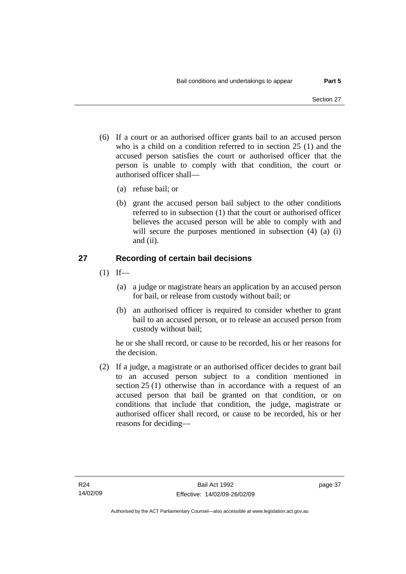- (6) If a court or an authorised officer grants bail to an accused person who is a child on a condition referred to in section 25 (1) and the accused person satisfies the court or authorised officer that the person is unable to comply with that condition, the court or authorised officer shall—
	- (a) refuse bail; or
	- (b) grant the accused person bail subject to the other conditions referred to in subsection (1) that the court or authorised officer believes the accused person will be able to comply with and will secure the purposes mentioned in subsection (4) (a) (i) and (ii).

## **27 Recording of certain bail decisions**

- $(1)$  If—
	- (a) a judge or magistrate hears an application by an accused person for bail, or release from custody without bail; or
	- (b) an authorised officer is required to consider whether to grant bail to an accused person, or to release an accused person from custody without bail;

he or she shall record, or cause to be recorded, his or her reasons for the decision.

 (2) If a judge, a magistrate or an authorised officer decides to grant bail to an accused person subject to a condition mentioned in section 25 (1) otherwise than in accordance with a request of an accused person that bail be granted on that condition, or on conditions that include that condition, the judge, magistrate or authorised officer shall record, or cause to be recorded, his or her reasons for deciding—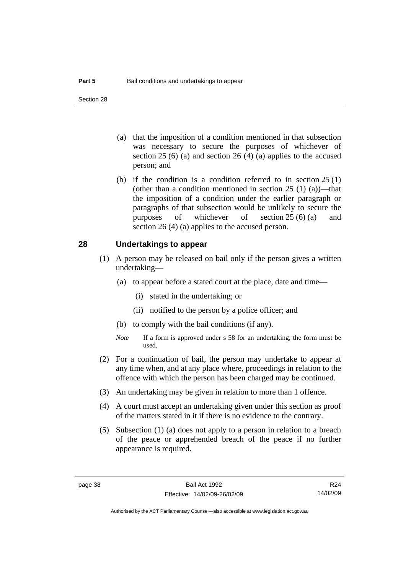- (a) that the imposition of a condition mentioned in that subsection was necessary to secure the purposes of whichever of section  $25(6)$  (a) and section  $26(4)$  (a) applies to the accused person; and
- (b) if the condition is a condition referred to in section 25 (1) (other than a condition mentioned in section  $25(1)(a)$ —that the imposition of a condition under the earlier paragraph or paragraphs of that subsection would be unlikely to secure the purposes of whichever of section 25 (6) (a) and section 26 (4) (a) applies to the accused person.

#### **28 Undertakings to appear**

- (1) A person may be released on bail only if the person gives a written undertaking—
	- (a) to appear before a stated court at the place, date and time—
		- (i) stated in the undertaking; or
		- (ii) notified to the person by a police officer; and
	- (b) to comply with the bail conditions (if any).
	- *Note* If a form is approved under s 58 for an undertaking, the form must be used.
- (2) For a continuation of bail, the person may undertake to appear at any time when, and at any place where, proceedings in relation to the offence with which the person has been charged may be continued.
- (3) An undertaking may be given in relation to more than 1 offence.
- (4) A court must accept an undertaking given under this section as proof of the matters stated in it if there is no evidence to the contrary.
- (5) Subsection (1) (a) does not apply to a person in relation to a breach of the peace or apprehended breach of the peace if no further appearance is required.

R24 14/02/09

Authorised by the ACT Parliamentary Counsel—also accessible at www.legislation.act.gov.au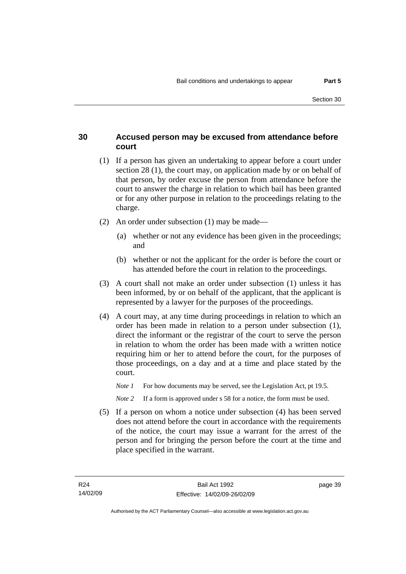## **30 Accused person may be excused from attendance before court**

- (1) If a person has given an undertaking to appear before a court under section 28 (1), the court may, on application made by or on behalf of that person, by order excuse the person from attendance before the court to answer the charge in relation to which bail has been granted or for any other purpose in relation to the proceedings relating to the charge.
- (2) An order under subsection (1) may be made—
	- (a) whether or not any evidence has been given in the proceedings; and
	- (b) whether or not the applicant for the order is before the court or has attended before the court in relation to the proceedings.
- (3) A court shall not make an order under subsection (1) unless it has been informed, by or on behalf of the applicant, that the applicant is represented by a lawyer for the purposes of the proceedings.
- (4) A court may, at any time during proceedings in relation to which an order has been made in relation to a person under subsection (1), direct the informant or the registrar of the court to serve the person in relation to whom the order has been made with a written notice requiring him or her to attend before the court, for the purposes of those proceedings, on a day and at a time and place stated by the court.
	- *Note 1* For how documents may be served, see the Legislation Act, pt 19.5.

*Note* 2 If a form is approved under s 58 for a notice, the form must be used.

 (5) If a person on whom a notice under subsection (4) has been served does not attend before the court in accordance with the requirements of the notice, the court may issue a warrant for the arrest of the person and for bringing the person before the court at the time and place specified in the warrant.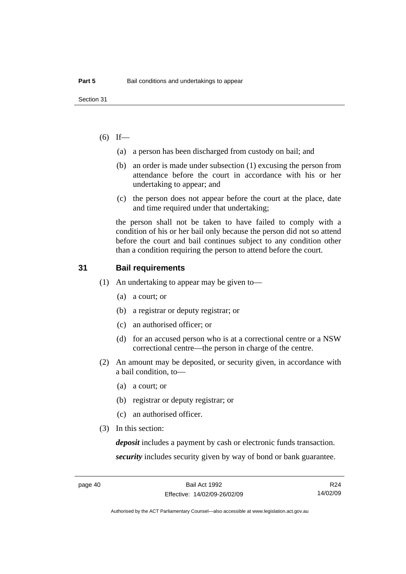## $(6)$  If—

- (a) a person has been discharged from custody on bail; and
- (b) an order is made under subsection (1) excusing the person from attendance before the court in accordance with his or her undertaking to appear; and
- (c) the person does not appear before the court at the place, date and time required under that undertaking;

the person shall not be taken to have failed to comply with a condition of his or her bail only because the person did not so attend before the court and bail continues subject to any condition other than a condition requiring the person to attend before the court.

#### **31 Bail requirements**

- (1) An undertaking to appear may be given to—
	- (a) a court; or
	- (b) a registrar or deputy registrar; or
	- (c) an authorised officer; or
	- (d) for an accused person who is at a correctional centre or a NSW correctional centre—the person in charge of the centre.
- (2) An amount may be deposited, or security given, in accordance with a bail condition, to—
	- (a) a court; or
	- (b) registrar or deputy registrar; or
	- (c) an authorised officer.
- (3) In this section:

*deposit* includes a payment by cash or electronic funds transaction. *security* includes security given by way of bond or bank guarantee.

R24 14/02/09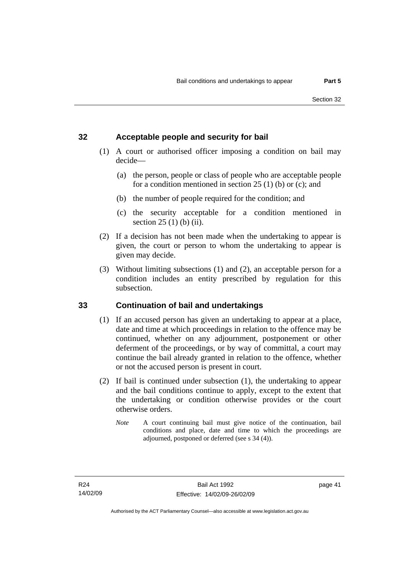## **32 Acceptable people and security for bail**

- (1) A court or authorised officer imposing a condition on bail may decide—
	- (a) the person, people or class of people who are acceptable people for a condition mentioned in section 25 (1) (b) or (c); and
	- (b) the number of people required for the condition; and
	- (c) the security acceptable for a condition mentioned in section 25 (1) (b) (ii).
- (2) If a decision has not been made when the undertaking to appear is given, the court or person to whom the undertaking to appear is given may decide.
- (3) Without limiting subsections (1) and (2), an acceptable person for a condition includes an entity prescribed by regulation for this subsection.

## **33 Continuation of bail and undertakings**

- (1) If an accused person has given an undertaking to appear at a place, date and time at which proceedings in relation to the offence may be continued, whether on any adjournment, postponement or other deferment of the proceedings, or by way of committal, a court may continue the bail already granted in relation to the offence, whether or not the accused person is present in court.
- (2) If bail is continued under subsection (1), the undertaking to appear and the bail conditions continue to apply, except to the extent that the undertaking or condition otherwise provides or the court otherwise orders.
	- *Note* A court continuing bail must give notice of the continuation, bail conditions and place, date and time to which the proceedings are adjourned, postponed or deferred (see s 34 (4)).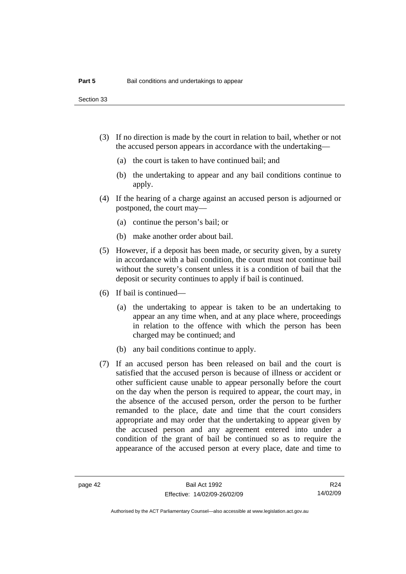Section 33

- (3) If no direction is made by the court in relation to bail, whether or not the accused person appears in accordance with the undertaking—
	- (a) the court is taken to have continued bail; and
	- (b) the undertaking to appear and any bail conditions continue to apply.
- (4) If the hearing of a charge against an accused person is adjourned or postponed, the court may—
	- (a) continue the person's bail; or
	- (b) make another order about bail.
- (5) However, if a deposit has been made, or security given, by a surety in accordance with a bail condition, the court must not continue bail without the surety's consent unless it is a condition of bail that the deposit or security continues to apply if bail is continued.
- (6) If bail is continued—
	- (a) the undertaking to appear is taken to be an undertaking to appear an any time when, and at any place where, proceedings in relation to the offence with which the person has been charged may be continued; and
	- (b) any bail conditions continue to apply.
- (7) If an accused person has been released on bail and the court is satisfied that the accused person is because of illness or accident or other sufficient cause unable to appear personally before the court on the day when the person is required to appear, the court may, in the absence of the accused person, order the person to be further remanded to the place, date and time that the court considers appropriate and may order that the undertaking to appear given by the accused person and any agreement entered into under a condition of the grant of bail be continued so as to require the appearance of the accused person at every place, date and time to

R24 14/02/09

Authorised by the ACT Parliamentary Counsel—also accessible at www.legislation.act.gov.au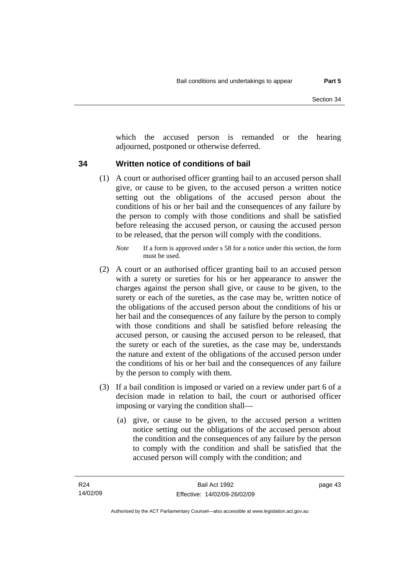which the accused person is remanded or the hearing adjourned, postponed or otherwise deferred.

## **34 Written notice of conditions of bail**

- (1) A court or authorised officer granting bail to an accused person shall give, or cause to be given, to the accused person a written notice setting out the obligations of the accused person about the conditions of his or her bail and the consequences of any failure by the person to comply with those conditions and shall be satisfied before releasing the accused person, or causing the accused person to be released, that the person will comply with the conditions.
	- *Note* If a form is approved under s 58 for a notice under this section, the form must be used.
- (2) A court or an authorised officer granting bail to an accused person with a surety or sureties for his or her appearance to answer the charges against the person shall give, or cause to be given, to the surety or each of the sureties, as the case may be, written notice of the obligations of the accused person about the conditions of his or her bail and the consequences of any failure by the person to comply with those conditions and shall be satisfied before releasing the accused person, or causing the accused person to be released, that the surety or each of the sureties, as the case may be, understands the nature and extent of the obligations of the accused person under the conditions of his or her bail and the consequences of any failure by the person to comply with them.
- (3) If a bail condition is imposed or varied on a review under part 6 of a decision made in relation to bail, the court or authorised officer imposing or varying the condition shall—
	- (a) give, or cause to be given, to the accused person a written notice setting out the obligations of the accused person about the condition and the consequences of any failure by the person to comply with the condition and shall be satisfied that the accused person will comply with the condition; and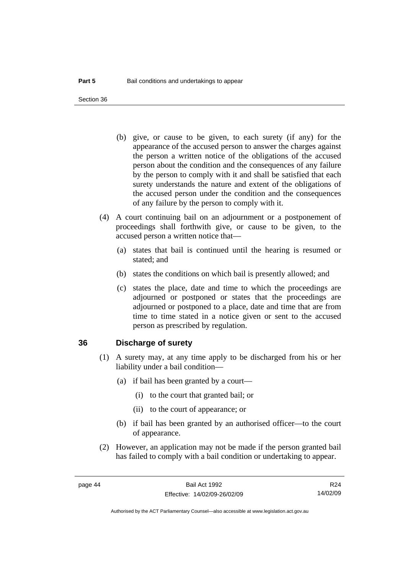Section 36

- (b) give, or cause to be given, to each surety (if any) for the appearance of the accused person to answer the charges against the person a written notice of the obligations of the accused person about the condition and the consequences of any failure by the person to comply with it and shall be satisfied that each surety understands the nature and extent of the obligations of the accused person under the condition and the consequences of any failure by the person to comply with it.
- (4) A court continuing bail on an adjournment or a postponement of proceedings shall forthwith give, or cause to be given, to the accused person a written notice that—
	- (a) states that bail is continued until the hearing is resumed or stated; and
	- (b) states the conditions on which bail is presently allowed; and
	- (c) states the place, date and time to which the proceedings are adjourned or postponed or states that the proceedings are adjourned or postponed to a place, date and time that are from time to time stated in a notice given or sent to the accused person as prescribed by regulation.

#### **36 Discharge of surety**

- (1) A surety may, at any time apply to be discharged from his or her liability under a bail condition—
	- (a) if bail has been granted by a court—
		- (i) to the court that granted bail; or
		- (ii) to the court of appearance; or
	- (b) if bail has been granted by an authorised officer—to the court of appearance.
- (2) However, an application may not be made if the person granted bail has failed to comply with a bail condition or undertaking to appear.

R24 14/02/09

Authorised by the ACT Parliamentary Counsel—also accessible at www.legislation.act.gov.au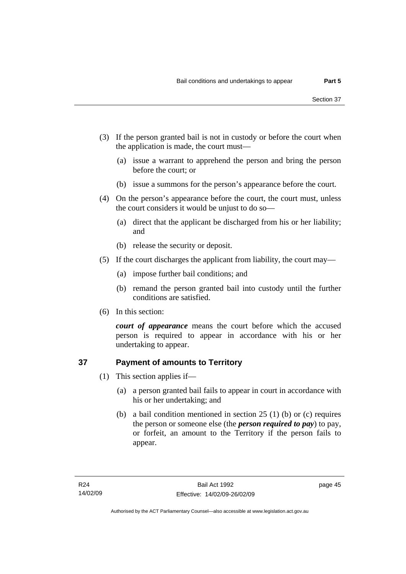- (3) If the person granted bail is not in custody or before the court when the application is made, the court must—
	- (a) issue a warrant to apprehend the person and bring the person before the court; or
	- (b) issue a summons for the person's appearance before the court.
- (4) On the person's appearance before the court, the court must, unless the court considers it would be unjust to do so—
	- (a) direct that the applicant be discharged from his or her liability; and
	- (b) release the security or deposit.
- (5) If the court discharges the applicant from liability, the court may—
	- (a) impose further bail conditions; and
	- (b) remand the person granted bail into custody until the further conditions are satisfied.
- (6) In this section:

*court of appearance* means the court before which the accused person is required to appear in accordance with his or her undertaking to appear.

## **37 Payment of amounts to Territory**

- (1) This section applies if—
	- (a) a person granted bail fails to appear in court in accordance with his or her undertaking; and
	- (b) a bail condition mentioned in section 25 (1) (b) or (c) requires the person or someone else (the *person required to pay*) to pay, or forfeit, an amount to the Territory if the person fails to appear.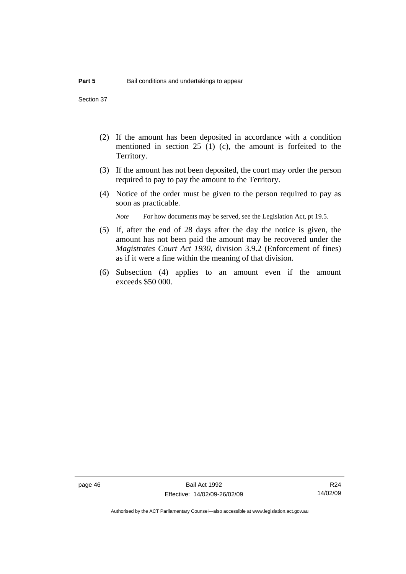Section 37

- (2) If the amount has been deposited in accordance with a condition mentioned in section 25 (1) (c), the amount is forfeited to the Territory.
- (3) If the amount has not been deposited, the court may order the person required to pay to pay the amount to the Territory.
- (4) Notice of the order must be given to the person required to pay as soon as practicable.

*Note* For how documents may be served, see the Legislation Act, pt 19.5.

- (5) If, after the end of 28 days after the day the notice is given, the amount has not been paid the amount may be recovered under the *Magistrates Court Act 1930*, division 3.9.2 (Enforcement of fines) as if it were a fine within the meaning of that division.
- (6) Subsection (4) applies to an amount even if the amount exceeds \$50 000.

R24 14/02/09

Authorised by the ACT Parliamentary Counsel—also accessible at www.legislation.act.gov.au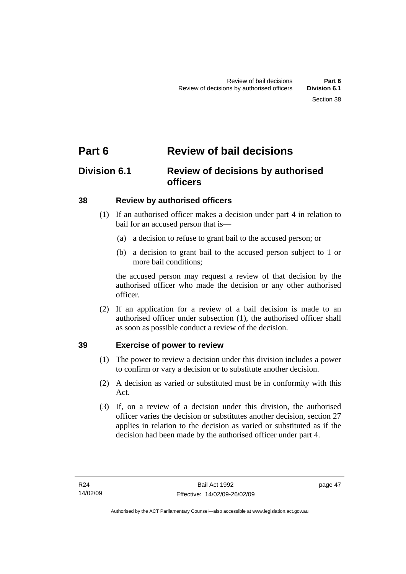# **Part 6 Review of bail decisions**

## **Division 6.1 Review of decisions by authorised officers**

## **38 Review by authorised officers**

- (1) If an authorised officer makes a decision under part 4 in relation to bail for an accused person that is—
	- (a) a decision to refuse to grant bail to the accused person; or
	- (b) a decision to grant bail to the accused person subject to 1 or more bail conditions;

the accused person may request a review of that decision by the authorised officer who made the decision or any other authorised officer.

 (2) If an application for a review of a bail decision is made to an authorised officer under subsection (1), the authorised officer shall as soon as possible conduct a review of the decision.

## **39 Exercise of power to review**

- (1) The power to review a decision under this division includes a power to confirm or vary a decision or to substitute another decision.
- (2) A decision as varied or substituted must be in conformity with this Act.
- (3) If, on a review of a decision under this division, the authorised officer varies the decision or substitutes another decision, section 27 applies in relation to the decision as varied or substituted as if the decision had been made by the authorised officer under part 4.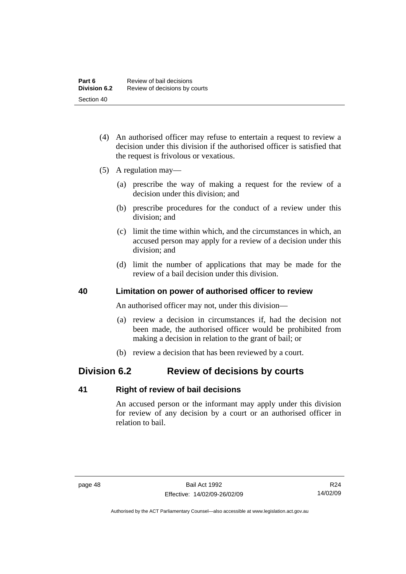- (4) An authorised officer may refuse to entertain a request to review a decision under this division if the authorised officer is satisfied that the request is frivolous or vexatious.
- (5) A regulation may—
	- (a) prescribe the way of making a request for the review of a decision under this division; and
	- (b) prescribe procedures for the conduct of a review under this division; and
	- (c) limit the time within which, and the circumstances in which, an accused person may apply for a review of a decision under this division; and
	- (d) limit the number of applications that may be made for the review of a bail decision under this division.

## **40 Limitation on power of authorised officer to review**

An authorised officer may not, under this division—

- (a) review a decision in circumstances if, had the decision not been made, the authorised officer would be prohibited from making a decision in relation to the grant of bail; or
- (b) review a decision that has been reviewed by a court.

## **Division 6.2 Review of decisions by courts**

## **41 Right of review of bail decisions**

An accused person or the informant may apply under this division for review of any decision by a court or an authorised officer in relation to bail.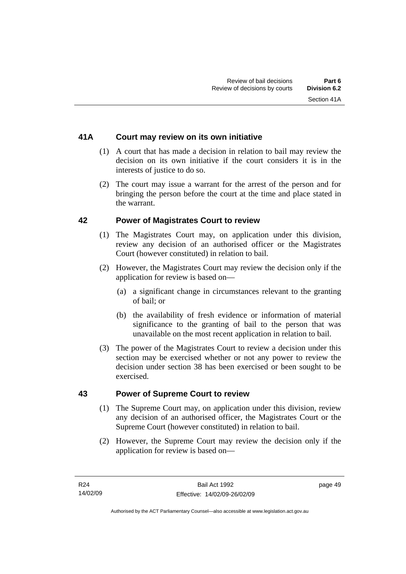## **41A Court may review on its own initiative**

- (1) A court that has made a decision in relation to bail may review the decision on its own initiative if the court considers it is in the interests of justice to do so.
- (2) The court may issue a warrant for the arrest of the person and for bringing the person before the court at the time and place stated in the warrant.

## **42 Power of Magistrates Court to review**

- (1) The Magistrates Court may, on application under this division, review any decision of an authorised officer or the Magistrates Court (however constituted) in relation to bail.
- (2) However, the Magistrates Court may review the decision only if the application for review is based on—
	- (a) a significant change in circumstances relevant to the granting of bail; or
	- (b) the availability of fresh evidence or information of material significance to the granting of bail to the person that was unavailable on the most recent application in relation to bail.
- (3) The power of the Magistrates Court to review a decision under this section may be exercised whether or not any power to review the decision under section 38 has been exercised or been sought to be exercised.

## **43 Power of Supreme Court to review**

- (1) The Supreme Court may, on application under this division, review any decision of an authorised officer, the Magistrates Court or the Supreme Court (however constituted) in relation to bail.
- (2) However, the Supreme Court may review the decision only if the application for review is based on—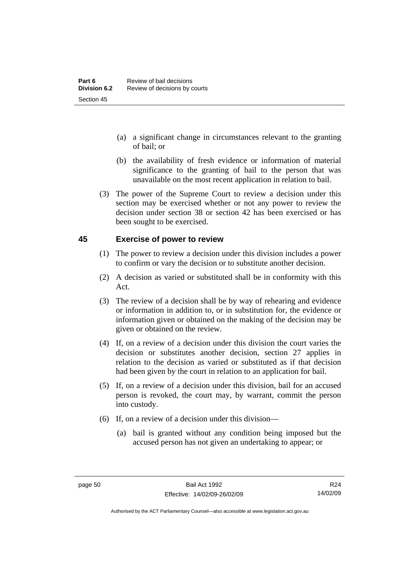- (a) a significant change in circumstances relevant to the granting of bail; or
- (b) the availability of fresh evidence or information of material significance to the granting of bail to the person that was unavailable on the most recent application in relation to bail.
- (3) The power of the Supreme Court to review a decision under this section may be exercised whether or not any power to review the decision under section 38 or section 42 has been exercised or has been sought to be exercised.

## **45 Exercise of power to review**

- (1) The power to review a decision under this division includes a power to confirm or vary the decision or to substitute another decision.
- (2) A decision as varied or substituted shall be in conformity with this Act.
- (3) The review of a decision shall be by way of rehearing and evidence or information in addition to, or in substitution for, the evidence or information given or obtained on the making of the decision may be given or obtained on the review.
- (4) If, on a review of a decision under this division the court varies the decision or substitutes another decision, section 27 applies in relation to the decision as varied or substituted as if that decision had been given by the court in relation to an application for bail.
- (5) If, on a review of a decision under this division, bail for an accused person is revoked, the court may, by warrant, commit the person into custody.
- (6) If, on a review of a decision under this division—
	- (a) bail is granted without any condition being imposed but the accused person has not given an undertaking to appear; or

R24 14/02/09

Authorised by the ACT Parliamentary Counsel—also accessible at www.legislation.act.gov.au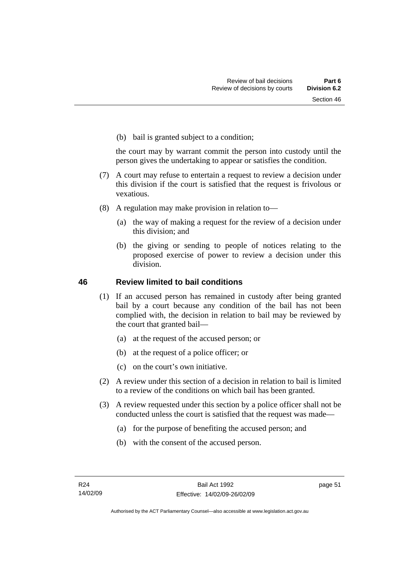(b) bail is granted subject to a condition;

the court may by warrant commit the person into custody until the person gives the undertaking to appear or satisfies the condition.

- (7) A court may refuse to entertain a request to review a decision under this division if the court is satisfied that the request is frivolous or vexatious.
- (8) A regulation may make provision in relation to—
	- (a) the way of making a request for the review of a decision under this division; and
	- (b) the giving or sending to people of notices relating to the proposed exercise of power to review a decision under this division.

## **46 Review limited to bail conditions**

- (1) If an accused person has remained in custody after being granted bail by a court because any condition of the bail has not been complied with, the decision in relation to bail may be reviewed by the court that granted bail—
	- (a) at the request of the accused person; or
	- (b) at the request of a police officer; or
	- (c) on the court's own initiative.
- (2) A review under this section of a decision in relation to bail is limited to a review of the conditions on which bail has been granted.
- (3) A review requested under this section by a police officer shall not be conducted unless the court is satisfied that the request was made—
	- (a) for the purpose of benefiting the accused person; and
	- (b) with the consent of the accused person.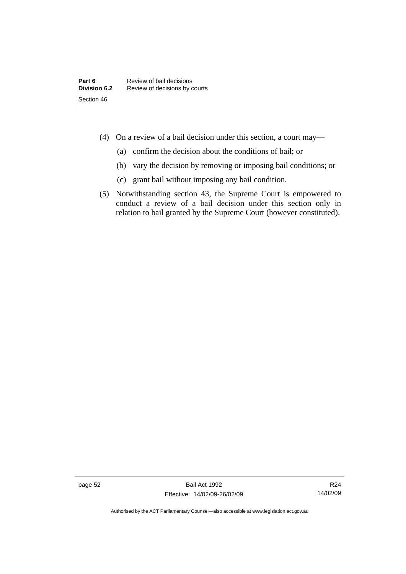- (4) On a review of a bail decision under this section, a court may—
	- (a) confirm the decision about the conditions of bail; or
	- (b) vary the decision by removing or imposing bail conditions; or
	- (c) grant bail without imposing any bail condition.
- (5) Notwithstanding section 43, the Supreme Court is empowered to conduct a review of a bail decision under this section only in relation to bail granted by the Supreme Court (however constituted).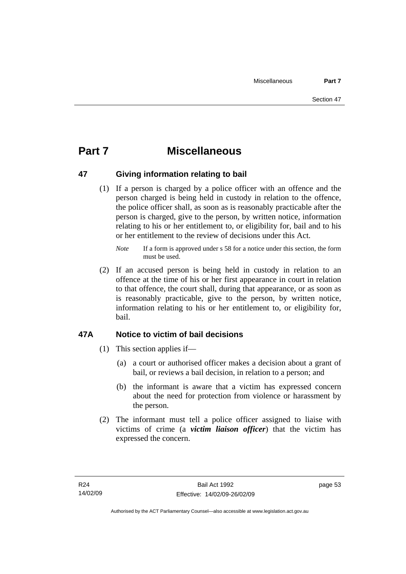## **Part 7 Miscellaneous**

## **47 Giving information relating to bail**

 (1) If a person is charged by a police officer with an offence and the person charged is being held in custody in relation to the offence, the police officer shall, as soon as is reasonably practicable after the person is charged, give to the person, by written notice, information relating to his or her entitlement to, or eligibility for, bail and to his or her entitlement to the review of decisions under this Act.

 (2) If an accused person is being held in custody in relation to an offence at the time of his or her first appearance in court in relation to that offence, the court shall, during that appearance, or as soon as is reasonably practicable, give to the person, by written notice, information relating to his or her entitlement to, or eligibility for, bail.

## **47A Notice to victim of bail decisions**

- (1) This section applies if—
	- (a) a court or authorised officer makes a decision about a grant of bail, or reviews a bail decision, in relation to a person; and
	- (b) the informant is aware that a victim has expressed concern about the need for protection from violence or harassment by the person.
- (2) The informant must tell a police officer assigned to liaise with victims of crime (a *victim liaison officer*) that the victim has expressed the concern.

*Note* If a form is approved under s 58 for a notice under this section, the form must be used.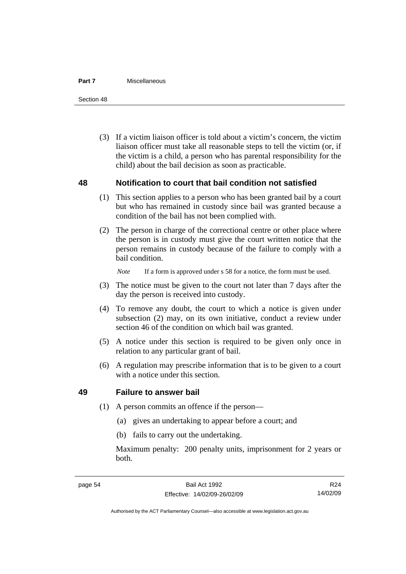#### **Part 7** Miscellaneous

Section 48

 (3) If a victim liaison officer is told about a victim's concern, the victim liaison officer must take all reasonable steps to tell the victim (or, if the victim is a child, a person who has parental responsibility for the child) about the bail decision as soon as practicable.

## **48 Notification to court that bail condition not satisfied**

- (1) This section applies to a person who has been granted bail by a court but who has remained in custody since bail was granted because a condition of the bail has not been complied with.
- (2) The person in charge of the correctional centre or other place where the person is in custody must give the court written notice that the person remains in custody because of the failure to comply with a bail condition.

*Note* If a form is approved under s 58 for a notice, the form must be used.

- (3) The notice must be given to the court not later than 7 days after the day the person is received into custody.
- (4) To remove any doubt, the court to which a notice is given under subsection (2) may, on its own initiative, conduct a review under section 46 of the condition on which bail was granted.
- (5) A notice under this section is required to be given only once in relation to any particular grant of bail.
- (6) A regulation may prescribe information that is to be given to a court with a notice under this section.

## **49 Failure to answer bail**

- (1) A person commits an offence if the person—
	- (a) gives an undertaking to appear before a court; and
	- (b) fails to carry out the undertaking.

Maximum penalty: 200 penalty units, imprisonment for 2 years or both.

R24 14/02/09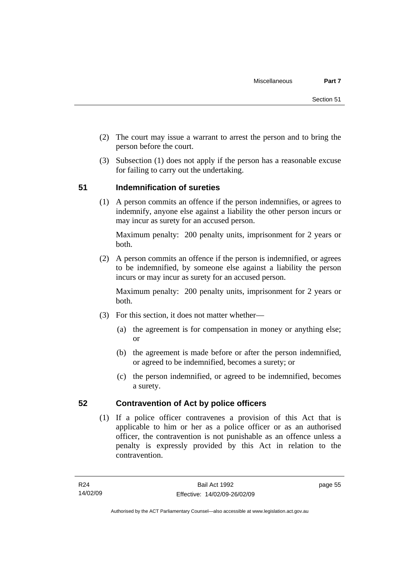- (2) The court may issue a warrant to arrest the person and to bring the person before the court.
- (3) Subsection (1) does not apply if the person has a reasonable excuse for failing to carry out the undertaking.

## **51 Indemnification of sureties**

 (1) A person commits an offence if the person indemnifies, or agrees to indemnify, anyone else against a liability the other person incurs or may incur as surety for an accused person.

Maximum penalty: 200 penalty units, imprisonment for 2 years or both.

 (2) A person commits an offence if the person is indemnified, or agrees to be indemnified, by someone else against a liability the person incurs or may incur as surety for an accused person.

Maximum penalty: 200 penalty units, imprisonment for 2 years or both.

- (3) For this section, it does not matter whether—
	- (a) the agreement is for compensation in money or anything else; or
	- (b) the agreement is made before or after the person indemnified, or agreed to be indemnified, becomes a surety; or
	- (c) the person indemnified, or agreed to be indemnified, becomes a surety.

## **52 Contravention of Act by police officers**

 (1) If a police officer contravenes a provision of this Act that is applicable to him or her as a police officer or as an authorised officer, the contravention is not punishable as an offence unless a penalty is expressly provided by this Act in relation to the contravention.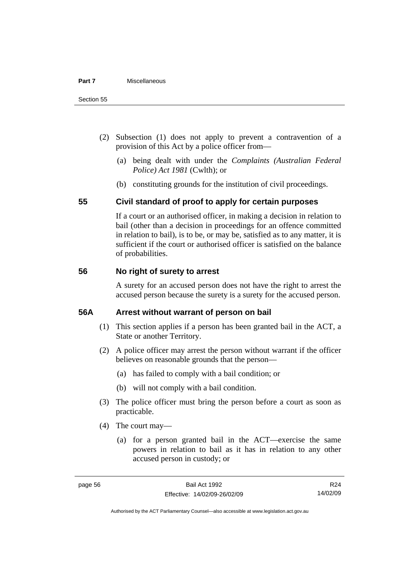- (2) Subsection (1) does not apply to prevent a contravention of a provision of this Act by a police officer from—
	- (a) being dealt with under the *Complaints (Australian Federal Police) Act 1981* (Cwlth); or
	- (b) constituting grounds for the institution of civil proceedings.

## **55 Civil standard of proof to apply for certain purposes**

If a court or an authorised officer, in making a decision in relation to bail (other than a decision in proceedings for an offence committed in relation to bail), is to be, or may be, satisfied as to any matter, it is sufficient if the court or authorised officer is satisfied on the balance of probabilities.

## **56 No right of surety to arrest**

A surety for an accused person does not have the right to arrest the accused person because the surety is a surety for the accused person.

## **56A Arrest without warrant of person on bail**

- (1) This section applies if a person has been granted bail in the ACT, a State or another Territory.
- (2) A police officer may arrest the person without warrant if the officer believes on reasonable grounds that the person—
	- (a) has failed to comply with a bail condition; or
	- (b) will not comply with a bail condition.
- (3) The police officer must bring the person before a court as soon as practicable.
- (4) The court may—
	- (a) for a person granted bail in the ACT—exercise the same powers in relation to bail as it has in relation to any other accused person in custody; or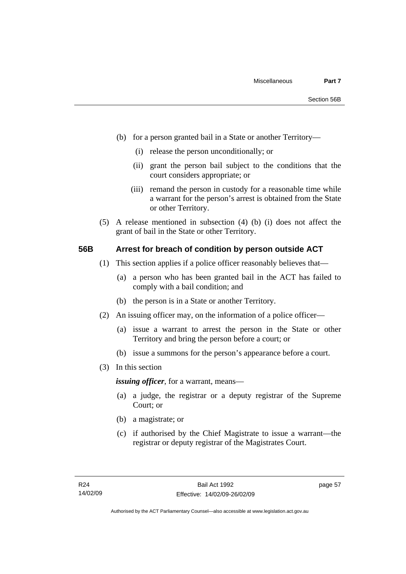- (b) for a person granted bail in a State or another Territory—
	- (i) release the person unconditionally; or
	- (ii) grant the person bail subject to the conditions that the court considers appropriate; or
	- (iii) remand the person in custody for a reasonable time while a warrant for the person's arrest is obtained from the State or other Territory.
- (5) A release mentioned in subsection (4) (b) (i) does not affect the grant of bail in the State or other Territory.

#### **56B Arrest for breach of condition by person outside ACT**

- (1) This section applies if a police officer reasonably believes that—
	- (a) a person who has been granted bail in the ACT has failed to comply with a bail condition; and
	- (b) the person is in a State or another Territory.
- (2) An issuing officer may, on the information of a police officer—
	- (a) issue a warrant to arrest the person in the State or other Territory and bring the person before a court; or
	- (b) issue a summons for the person's appearance before a court.
- (3) In this section

*issuing officer*, for a warrant, means—

- (a) a judge, the registrar or a deputy registrar of the Supreme Court; or
- (b) a magistrate; or
- (c) if authorised by the Chief Magistrate to issue a warrant—the registrar or deputy registrar of the Magistrates Court.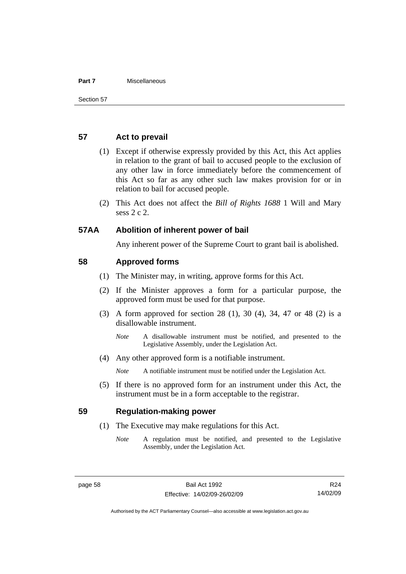#### **Part 7** Miscellaneous

#### **57 Act to prevail**

- (1) Except if otherwise expressly provided by this Act, this Act applies in relation to the grant of bail to accused people to the exclusion of any other law in force immediately before the commencement of this Act so far as any other such law makes provision for or in relation to bail for accused people.
- (2) This Act does not affect the *Bill of Rights 1688* 1 Will and Mary sess 2 c 2.

#### **57AA Abolition of inherent power of bail**

Any inherent power of the Supreme Court to grant bail is abolished.

#### **58 Approved forms**

- (1) The Minister may, in writing, approve forms for this Act.
- (2) If the Minister approves a form for a particular purpose, the approved form must be used for that purpose.
- (3) A form approved for section 28 (1), 30 (4), 34, 47 or 48 (2) is a disallowable instrument.
	- *Note* A disallowable instrument must be notified, and presented to the Legislative Assembly, under the Legislation Act.
- (4) Any other approved form is a notifiable instrument.

*Note* A notifiable instrument must be notified under the Legislation Act.

 (5) If there is no approved form for an instrument under this Act, the instrument must be in a form acceptable to the registrar.

#### **59 Regulation-making power**

- (1) The Executive may make regulations for this Act.
	- *Note* A regulation must be notified, and presented to the Legislative Assembly, under the Legislation Act.

Authorised by the ACT Parliamentary Counsel—also accessible at www.legislation.act.gov.au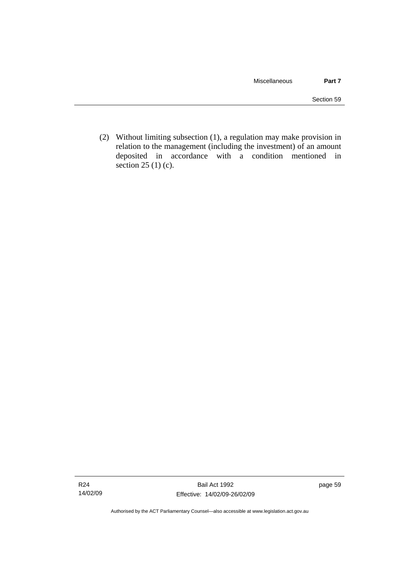(2) Without limiting subsection (1), a regulation may make provision in relation to the management (including the investment) of an amount deposited in accordance with a condition mentioned in section 25 (1) (c).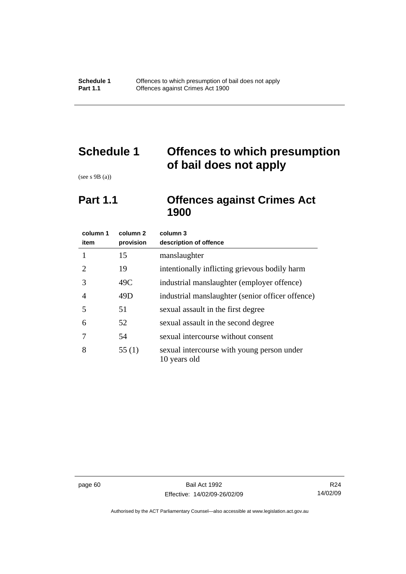# **Schedule 1 Offences to which presumption of bail does not apply**

(see s 9B (a))

# **Part 1.1 Offences against Crimes Act 1900**

| column 1<br>item            | column 2<br>provision | column 3<br>description of offence                         |
|-----------------------------|-----------------------|------------------------------------------------------------|
| 1                           | 15                    | manslaughter                                               |
| $\mathcal{D}_{\mathcal{L}}$ | 19                    | intentionally inflicting grievous bodily harm              |
| 3                           | 49C                   | industrial manslaughter (employer offence)                 |
| 4                           | 49D                   | industrial manslaughter (senior officer offence)           |
| 5                           | 51                    | sexual assault in the first degree                         |
| 6                           | 52                    | sexual assault in the second degree                        |
|                             | 54                    | sexual intercourse without consent                         |
| 8                           | 55(1)                 | sexual intercourse with young person under<br>10 years old |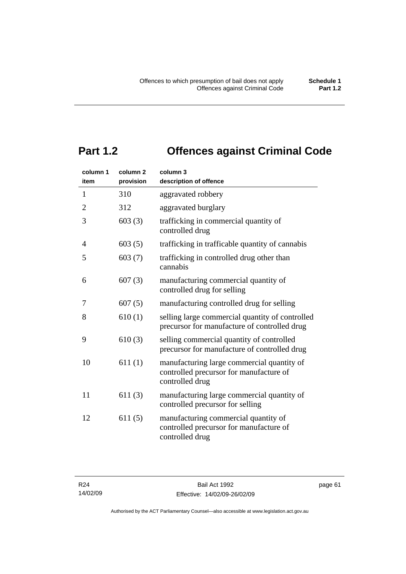# **Part 1.2 Offences against Criminal Code**

| column 1<br>item | column <sub>2</sub><br>provision | column 3<br>description of offence                                                                       |
|------------------|----------------------------------|----------------------------------------------------------------------------------------------------------|
| $\mathbf{1}$     | 310                              | aggravated robbery                                                                                       |
| $\overline{2}$   | 312                              | aggravated burglary                                                                                      |
| 3                | 603(3)                           | trafficking in commercial quantity of<br>controlled drug                                                 |
| 4                | 603(5)                           | trafficking in trafficable quantity of cannabis                                                          |
| 5                | 603(7)                           | trafficking in controlled drug other than<br>cannabis                                                    |
| 6                | 607(3)                           | manufacturing commercial quantity of<br>controlled drug for selling                                      |
| 7                | 607(5)                           | manufacturing controlled drug for selling                                                                |
| 8                | 610(1)                           | selling large commercial quantity of controlled<br>precursor for manufacture of controlled drug          |
| 9                | 610(3)                           | selling commercial quantity of controlled<br>precursor for manufacture of controlled drug                |
| 10               | 611(1)                           | manufacturing large commercial quantity of<br>controlled precursor for manufacture of<br>controlled drug |
| 11               | 611(3)                           | manufacturing large commercial quantity of<br>controlled precursor for selling                           |
| 12               | 611(5)                           | manufacturing commercial quantity of<br>controlled precursor for manufacture of<br>controlled drug       |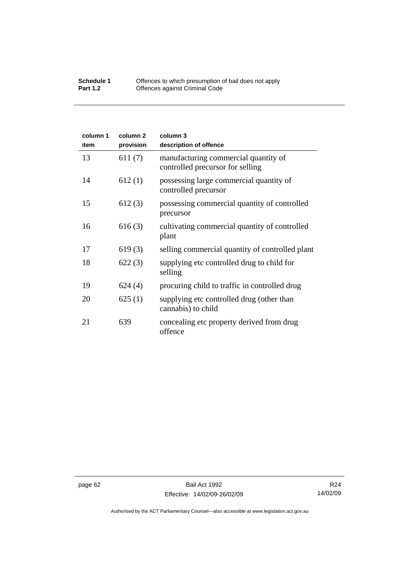#### **Schedule 1** Offences to which presumption of bail does not apply **Part 1.2 C** Offences against Criminal Code

| column 1<br>item | column <sub>2</sub><br>provision | column 3<br>description of offence                                       |
|------------------|----------------------------------|--------------------------------------------------------------------------|
| 13               | 611(7)                           | manufacturing commercial quantity of<br>controlled precursor for selling |
| 14               | 612(1)                           | possessing large commercial quantity of<br>controlled precursor          |
| 15               | 612(3)                           | possessing commercial quantity of controlled<br>precursor                |
| 16               | 616(3)                           | cultivating commercial quantity of controlled<br>plant                   |
| 17               | 619(3)                           | selling commercial quantity of controlled plant                          |
| 18               | 622(3)                           | supplying etc controlled drug to child for<br>selling                    |
| 19               | 624(4)                           | procuring child to traffic in controlled drug                            |
| 20               | 625(1)                           | supplying etc controlled drug (other than<br>cannabis) to child          |
| 21               | 639                              | concealing etc property derived from drug<br>offence                     |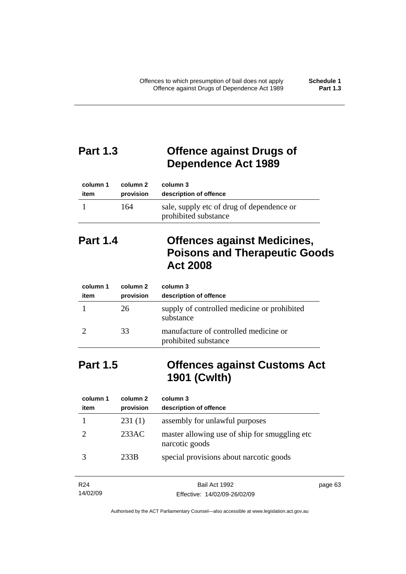page 63

# **Part 1.3 Offence against Drugs of Dependence Act 1989**

| column 1 | column 2  | column 3                                                          |
|----------|-----------|-------------------------------------------------------------------|
| item     | provision | description of offence                                            |
|          | 164       | sale, supply etc of drug of dependence or<br>prohibited substance |

# **Part 1.4 Offences against Medicines, Poisons and Therapeutic Goods Act 2008**

| column 1<br>item | column 2<br>provision | column 3<br>description of offence                            |
|------------------|-----------------------|---------------------------------------------------------------|
|                  | 26                    | supply of controlled medicine or prohibited<br>substance      |
|                  | 33                    | manufacture of controlled medicine or<br>prohibited substance |

# **Part 1.5 Offences against Customs Act 1901 (Cwlth)**

| column 1<br>item | column 2<br>provision | column 3<br>description of offence                               |
|------------------|-----------------------|------------------------------------------------------------------|
|                  | 231(1)                | assembly for unlawful purposes                                   |
|                  | 233AC                 | master allowing use of ship for smuggling etc.<br>narcotic goods |
|                  | 233B                  | special provisions about narcotic goods                          |

| R <sub>24</sub> | Bail Act 1992                | page |
|-----------------|------------------------------|------|
| 14/02/09        | Effective: 14/02/09-26/02/09 |      |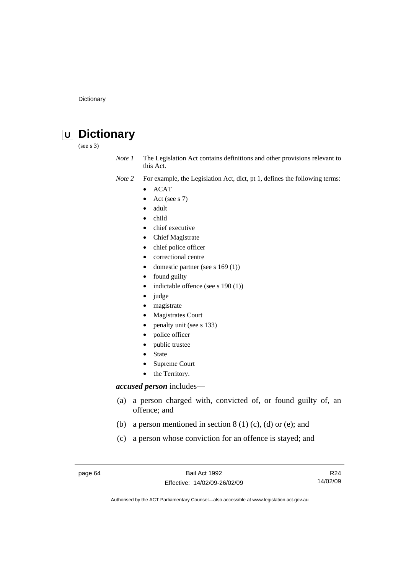# **U Dictionary**

(see s 3)

*Note 1* The Legislation Act contains definitions and other provisions relevant to this Act.

- *Note 2* For example, the Legislation Act, dict, pt 1, defines the following terms:
	- ACAT
		- Act (see s 7)
		- adult
	- child
	- chief executive
	- Chief Magistrate
	- chief police officer
	- correctional centre
	- domestic partner (see s 169 (1))
	- found guilty
	- indictable offence (see s 190 (1))
	- judge
	- magistrate
	- Magistrates Court
	- penalty unit (see s 133)
	- police officer
	- public trustee
	- **State**
	- Supreme Court
	- the Territory.

#### *accused person* includes—

- (a) a person charged with, convicted of, or found guilty of, an offence; and
- (b) a person mentioned in section  $8(1)(c)$ , (d) or (e); and
- (c) a person whose conviction for an offence is stayed; and

page 64 Bail Act 1992 Effective: 14/02/09-26/02/09

R24 14/02/09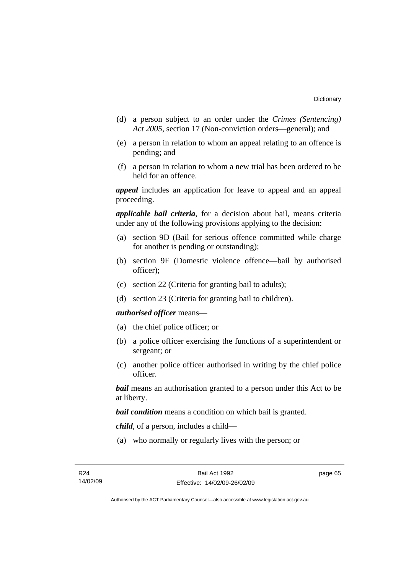- (d) a person subject to an order under the *Crimes (Sentencing) Act 2005*, section 17 (Non-conviction orders—general); and
- (e) a person in relation to whom an appeal relating to an offence is pending; and
- (f) a person in relation to whom a new trial has been ordered to be held for an offence.

*appeal* includes an application for leave to appeal and an appeal proceeding.

*applicable bail criteria*, for a decision about bail, means criteria under any of the following provisions applying to the decision:

- (a) section 9D (Bail for serious offence committed while charge for another is pending or outstanding);
- (b) section 9F (Domestic violence offence—bail by authorised officer);
- (c) section 22 (Criteria for granting bail to adults);
- (d) section 23 (Criteria for granting bail to children).

#### *authorised officer* means—

- (a) the chief police officer; or
- (b) a police officer exercising the functions of a superintendent or sergeant; or
- (c) another police officer authorised in writing by the chief police officer.

*bail* means an authorisation granted to a person under this Act to be at liberty.

*bail condition* means a condition on which bail is granted.

*child*, of a person, includes a child—

(a) who normally or regularly lives with the person; or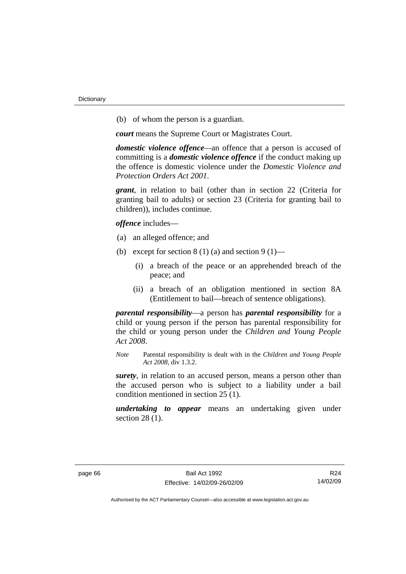(b) of whom the person is a guardian.

*court* means the Supreme Court or Magistrates Court.

*domestic violence offence—*an offence that a person is accused of committing is a *domestic violence offence* if the conduct making up the offence is domestic violence under the *Domestic Violence and Protection Orders Act 2001*.

*grant*, in relation to bail (other than in section 22 (Criteria for granting bail to adults) or section 23 (Criteria for granting bail to children)), includes continue.

*offence* includes—

- (a) an alleged offence; and
- (b) except for section  $8(1)(a)$  and section  $9(1)$ 
	- (i) a breach of the peace or an apprehended breach of the peace; and
	- (ii) a breach of an obligation mentioned in section 8A (Entitlement to bail—breach of sentence obligations).

*parental responsibility*—a person has *parental responsibility* for a child or young person if the person has parental responsibility for the child or young person under the *Children and Young People Act 2008*.

*Note* Parental responsibility is dealt with in the *Children and Young People Act 2008*, div 1.3.2.

*surety*, in relation to an accused person, means a person other than the accused person who is subject to a liability under a bail condition mentioned in section 25 (1).

*undertaking to appear* means an undertaking given under section 28 (1).

R24 14/02/09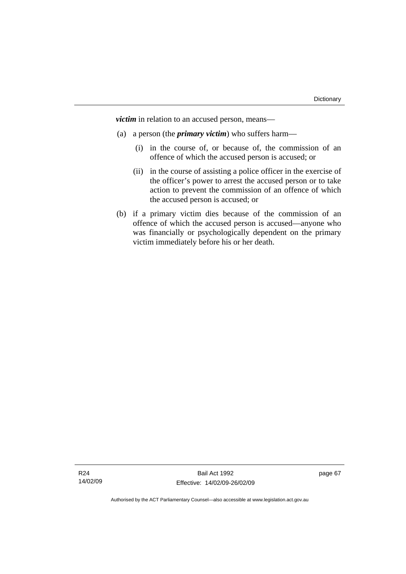*victim* in relation to an accused person, means—

- (a) a person (the *primary victim*) who suffers harm—
	- (i) in the course of, or because of, the commission of an offence of which the accused person is accused; or
	- (ii) in the course of assisting a police officer in the exercise of the officer's power to arrest the accused person or to take action to prevent the commission of an offence of which the accused person is accused; or
- (b) if a primary victim dies because of the commission of an offence of which the accused person is accused—anyone who was financially or psychologically dependent on the primary victim immediately before his or her death.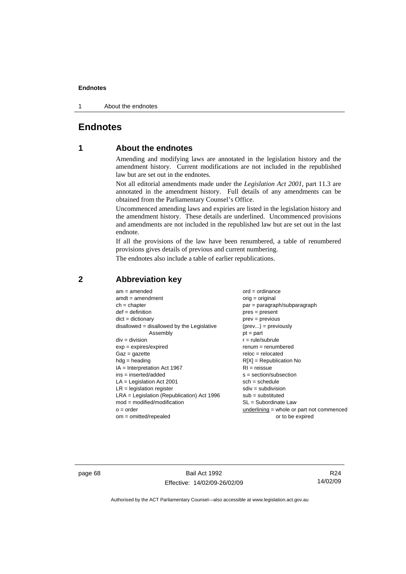1 About the endnotes

## **Endnotes**

## **1 About the endnotes**

Amending and modifying laws are annotated in the legislation history and the amendment history. Current modifications are not included in the republished law but are set out in the endnotes.

Not all editorial amendments made under the *Legislation Act 2001*, part 11.3 are annotated in the amendment history. Full details of any amendments can be obtained from the Parliamentary Counsel's Office.

Uncommenced amending laws and expiries are listed in the legislation history and the amendment history. These details are underlined. Uncommenced provisions and amendments are not included in the republished law but are set out in the last endnote.

If all the provisions of the law have been renumbered, a table of renumbered provisions gives details of previous and current numbering.

The endnotes also include a table of earlier republications.

| $am = amended$                               | $ord = ordinance$                         |
|----------------------------------------------|-------------------------------------------|
| $amdt = amendment$                           | orig = original                           |
| $ch = chapter$                               | $par = paragraph/subparagraph$            |
| $def = definition$                           | $pres = present$                          |
| $dict = dictionary$                          | $prev = previous$                         |
| disallowed = disallowed by the Legislative   | $(\text{prev}) = \text{previously}$       |
| Assembly                                     | $pt = part$                               |
| $div = division$                             | $r = rule/subrule$                        |
| $exp = expires/expired$                      | $renum = renumbered$                      |
| $Gaz = gazette$                              | $reloc = relocated$                       |
| $hdg =$ heading                              | $R[X]$ = Republication No                 |
| $IA = Interpretation Act 1967$               | $RI = reissue$                            |
| $ins = inserted/added$                       | $s = section/subsection$                  |
| $LA =$ Legislation Act 2001                  | $sch = schedule$                          |
| $LR =$ legislation register                  | $sdiv = subdivision$                      |
| $LRA =$ Legislation (Republication) Act 1996 | $sub =$ substituted                       |
| $mod = modified/modification$                | SL = Subordinate Law                      |
| $o = order$                                  | underlining = whole or part not commenced |
| $om = omitted/report$                        | or to be expired                          |
|                                              |                                           |

## **2 Abbreviation key**

page 68 Bail Act 1992 Effective: 14/02/09-26/02/09

R24 14/02/09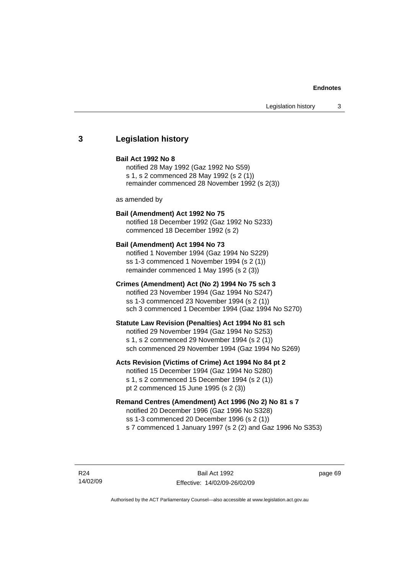## **3 Legislation history**

#### **Bail Act 1992 No 8**

notified 28 May 1992 (Gaz 1992 No S59) s 1, s 2 commenced 28 May 1992 (s 2 (1)) remainder commenced 28 November 1992 (s 2(3))

as amended by

## **Bail (Amendment) Act 1992 No 75**

notified 18 December 1992 (Gaz 1992 No S233) commenced 18 December 1992 (s 2)

#### **Bail (Amendment) Act 1994 No 73**

notified 1 November 1994 (Gaz 1994 No S229) ss 1-3 commenced 1 November 1994 (s 2 (1)) remainder commenced 1 May 1995 (s 2 (3))

#### **Crimes (Amendment) Act (No 2) 1994 No 75 sch 3**

notified 23 November 1994 (Gaz 1994 No S247) ss 1-3 commenced 23 November 1994 (s 2 (1)) sch 3 commenced 1 December 1994 (Gaz 1994 No S270)

#### **Statute Law Revision (Penalties) Act 1994 No 81 sch**

notified 29 November 1994 (Gaz 1994 No S253) s 1, s 2 commenced 29 November 1994 (s 2 (1)) sch commenced 29 November 1994 (Gaz 1994 No S269)

#### **Acts Revision (Victims of Crime) Act 1994 No 84 pt 2**

notified 15 December 1994 (Gaz 1994 No S280) s 1, s 2 commenced 15 December 1994 (s 2 (1)) pt 2 commenced 15 June 1995 (s 2 (3))

## **Remand Centres (Amendment) Act 1996 (No 2) No 81 s 7**

notified 20 December 1996 (Gaz 1996 No S328) ss 1-3 commenced 20 December 1996 (s 2 (1)) s 7 commenced 1 January 1997 (s 2 (2) and Gaz 1996 No S353)

R24 14/02/09

Bail Act 1992 Effective: 14/02/09-26/02/09 page 69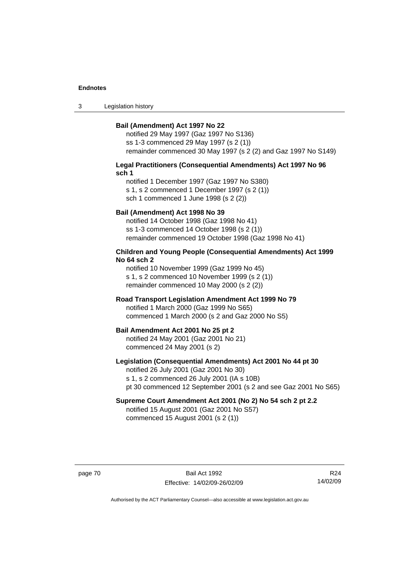3 Legislation history

#### **Bail (Amendment) Act 1997 No 22**

notified 29 May 1997 (Gaz 1997 No S136) ss 1-3 commenced 29 May 1997 (s 2 (1)) remainder commenced 30 May 1997 (s 2 (2) and Gaz 1997 No S149)

#### **Legal Practitioners (Consequential Amendments) Act 1997 No 96 sch 1**

notified 1 December 1997 (Gaz 1997 No S380) s 1, s 2 commenced 1 December 1997 (s 2 (1)) sch 1 commenced 1 June 1998 (s 2 (2))

## **Bail (Amendment) Act 1998 No 39**

notified 14 October 1998 (Gaz 1998 No 41) ss 1-3 commenced 14 October 1998 (s 2 (1)) remainder commenced 19 October 1998 (Gaz 1998 No 41)

#### **Children and Young People (Consequential Amendments) Act 1999 No 64 sch 2**

notified 10 November 1999 (Gaz 1999 No 45) s 1, s 2 commenced 10 November 1999 (s 2 (1)) remainder commenced 10 May 2000 (s 2 (2))

#### **Road Transport Legislation Amendment Act 1999 No 79**

notified 1 March 2000 (Gaz 1999 No S65) commenced 1 March 2000 (s 2 and Gaz 2000 No S5)

#### **Bail Amendment Act 2001 No 25 pt 2**

notified 24 May 2001 (Gaz 2001 No 21) commenced 24 May 2001 (s 2)

## **Legislation (Consequential Amendments) Act 2001 No 44 pt 30**

notified 26 July 2001 (Gaz 2001 No 30) s 1, s 2 commenced 26 July 2001 (IA s 10B) pt 30 commenced 12 September 2001 (s 2 and see Gaz 2001 No S65)

## **Supreme Court Amendment Act 2001 (No 2) No 54 sch 2 pt 2.2**

notified 15 August 2001 (Gaz 2001 No S57) commenced 15 August 2001 (s 2 (1))

page 70 Bail Act 1992 Effective: 14/02/09-26/02/09

R24 14/02/09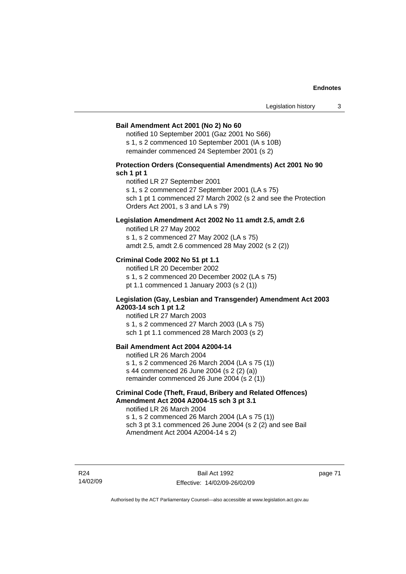#### **Bail Amendment Act 2001 (No 2) No 60**

notified 10 September 2001 (Gaz 2001 No S66) s 1, s 2 commenced 10 September 2001 (IA s 10B) remainder commenced 24 September 2001 (s 2)

## **Protection Orders (Consequential Amendments) Act 2001 No 90 sch 1 pt 1**

notified LR 27 September 2001

s 1, s 2 commenced 27 September 2001 (LA s 75)

sch 1 pt 1 commenced 27 March 2002 (s 2 and see the Protection Orders Act 2001, s 3 and LA s 79)

### **Legislation Amendment Act 2002 No 11 amdt 2.5, amdt 2.6**

notified LR 27 May 2002 s 1, s 2 commenced 27 May 2002 (LA s 75) amdt 2.5, amdt 2.6 commenced 28 May 2002 (s 2 (2))

## **Criminal Code 2002 No 51 pt 1.1**

notified LR 20 December 2002 s 1, s 2 commenced 20 December 2002 (LA s 75) pt 1.1 commenced 1 January 2003 (s 2 (1))

#### **Legislation (Gay, Lesbian and Transgender) Amendment Act 2003 A2003-14 sch 1 pt 1.2**

notified LR 27 March 2003 s 1, s 2 commenced 27 March 2003 (LA s 75) sch 1 pt 1.1 commenced 28 March 2003 (s 2)

## **Bail Amendment Act 2004 A2004-14**

notified LR 26 March 2004 s 1, s 2 commenced 26 March 2004 (LA s 75 (1)) s 44 commenced 26 June 2004 (s 2 (2) (a)) remainder commenced 26 June 2004 (s 2 (1))

## **Criminal Code (Theft, Fraud, Bribery and Related Offences) Amendment Act 2004 A2004-15 sch 3 pt 3.1**

notified LR 26 March 2004 s 1, s 2 commenced 26 March 2004 (LA s 75 (1)) sch 3 pt 3.1 commenced 26 June 2004 (s 2 (2) and see Bail Amendment Act 2004 A2004-14 s 2)

R24 14/02/09 page 71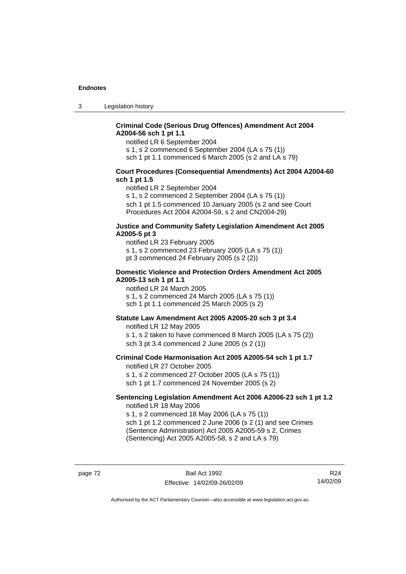3 Legislation history

## **Criminal Code (Serious Drug Offences) Amendment Act 2004 A2004-56 sch 1 pt 1.1**

notified LR 6 September 2004

s 1, s 2 commenced 6 September 2004 (LA s 75 (1))

sch 1 pt 1.1 commenced 6 March 2005 (s 2 and LA s 79)

### **Court Procedures (Consequential Amendments) Act 2004 A2004-60 sch 1 pt 1.5**

notified LR 2 September 2004

s 1, s 2 commenced 2 September 2004 (LA s 75 (1)) sch 1 pt 1.5 commenced 10 January 2005 (s 2 and see Court Procedures Act 2004 A2004-59, s 2 and CN2004-29)

#### **Justice and Community Safety Legislation Amendment Act 2005 A2005-5 pt 3**

notified LR 23 February 2005 s 1, s 2 commenced 23 February 2005 (LA s 75 (1)) pt 3 commenced 24 February 2005 (s 2 (2))

#### **Domestic Violence and Protection Orders Amendment Act 2005 A2005-13 sch 1 pt 1.1**

notified LR 24 March 2005 s 1, s 2 commenced 24 March 2005 (LA s 75 (1)) sch 1 pt 1.1 commenced 25 March 2005 (s 2)

## **Statute Law Amendment Act 2005 A2005-20 sch 3 pt 3.4**

notified LR 12 May 2005 s 1, s 2 taken to have commenced 8 March 2005 (LA s 75 (2)) sch 3 pt 3.4 commenced 2 June 2005 (s 2 (1))

#### **Criminal Code Harmonisation Act 2005 A2005-54 sch 1 pt 1.7**  notified LR 27 October 2005

s 1, s 2 commenced 27 October 2005 (LA s 75 (1)) sch 1 pt 1.7 commenced 24 November 2005 (s 2)

#### **Sentencing Legislation Amendment Act 2006 A2006-23 sch 1 pt 1.2**  notified LR 18 May 2006

s 1, s 2 commenced 18 May 2006 (LA s 75 (1)) sch 1 pt 1.2 commenced 2 June 2006 (s 2 (1) and see Crimes

(Sentence Administration) Act 2005 A2005-59 s 2, Crimes (Sentencing) Act 2005 A2005-58, s 2 and LA s 79)

page 72 Bail Act 1992 Effective: 14/02/09-26/02/09

R24 14/02/09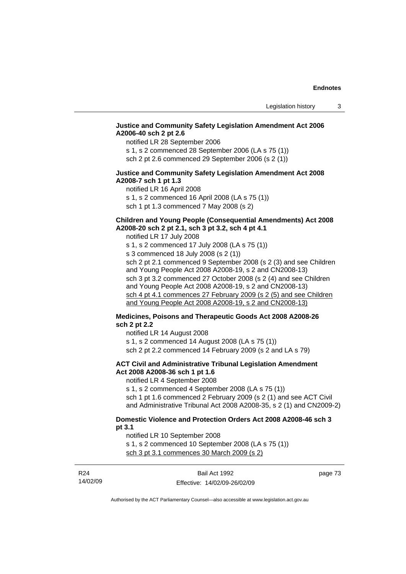## **Justice and Community Safety Legislation Amendment Act 2006 A2006-40 sch 2 pt 2.6**

notified LR 28 September 2006

s 1, s 2 commenced 28 September 2006 (LA s 75 (1)) sch 2 pt 2.6 commenced 29 September 2006 (s 2 (1))

## **Justice and Community Safety Legislation Amendment Act 2008 A2008-7 sch 1 pt 1.3**

notified LR 16 April 2008 s 1, s 2 commenced 16 April 2008 (LA s 75 (1)) sch 1 pt 1.3 commenced 7 May 2008 (s 2)

## **Children and Young People (Consequential Amendments) Act 2008 A2008-20 sch 2 pt 2.1, sch 3 pt 3.2, sch 4 pt 4.1**

notified LR 17 July 2008 s 1, s 2 commenced 17 July 2008 (LA s 75 (1)) s 3 commenced 18 July 2008 (s 2 (1)) sch 2 pt 2.1 commenced 9 September 2008 (s 2 (3) and see Children and Young People Act 2008 A2008-19, s 2 and CN2008-13) sch 3 pt 3.2 commenced 27 October 2008 (s 2 (4) and see Children and Young People Act 2008 A2008-19, s 2 and CN2008-13) sch 4 pt 4.1 commences 27 February 2009 (s 2 (5) and see Children and Young People Act 2008 A2008-19, s 2 and CN2008-13)

## **Medicines, Poisons and Therapeutic Goods Act 2008 A2008-26 sch 2 pt 2.2**

notified LR 14 August 2008

s 1, s 2 commenced 14 August 2008 (LA s 75 (1)) sch 2 pt 2.2 commenced 14 February 2009 (s 2 and LA s 79)

## **ACT Civil and Administrative Tribunal Legislation Amendment Act 2008 A2008-36 sch 1 pt 1.6**

notified LR 4 September 2008

s 1, s 2 commenced 4 September 2008 (LA s 75 (1)) sch 1 pt 1.6 commenced 2 February 2009 (s 2 (1) and see ACT Civil and Administrative Tribunal Act 2008 A2008-35, s 2 (1) and CN2009-2)

### **Domestic Violence and Protection Orders Act 2008 A2008-46 sch 3 pt 3.1**

notified LR 10 September 2008

s 1, s 2 commenced 10 September 2008 (LA s 75 (1)) sch 3 pt 3.1 commences 30 March 2009 (s 2)

| R <sub>24</sub> | Bail Act 1992                | page 73 |
|-----------------|------------------------------|---------|
| 14/02/09        | Effective: 14/02/09-26/02/09 |         |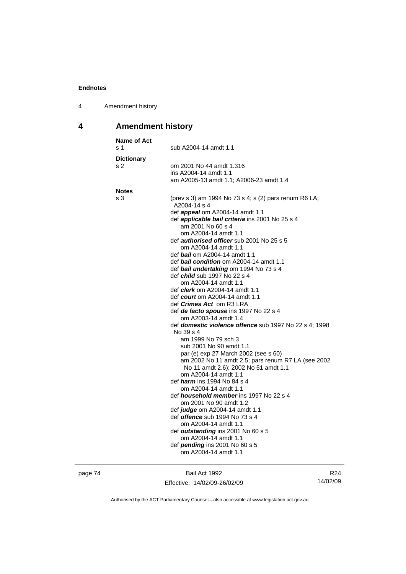| Amendment history<br>4 |  |
|------------------------|--|
|------------------------|--|

## **4 Amendment history**

| <b>Name of Act</b><br>s 1 | sub A2004-14 amdt 1.1                                                                                                                                                                                                                                                                                                                                                                                                                                                                                                                                                                                                                                                                                                                                                                                                                                                                                                                                                                                                                                                                                                                                                                                                                                           |
|---------------------------|-----------------------------------------------------------------------------------------------------------------------------------------------------------------------------------------------------------------------------------------------------------------------------------------------------------------------------------------------------------------------------------------------------------------------------------------------------------------------------------------------------------------------------------------------------------------------------------------------------------------------------------------------------------------------------------------------------------------------------------------------------------------------------------------------------------------------------------------------------------------------------------------------------------------------------------------------------------------------------------------------------------------------------------------------------------------------------------------------------------------------------------------------------------------------------------------------------------------------------------------------------------------|
| <b>Dictionary</b><br>s 2  | om 2001 No 44 amdt 1.316<br>ins A2004-14 amdt 1.1<br>am A2005-13 amdt 1.1; A2006-23 amdt 1.4                                                                                                                                                                                                                                                                                                                                                                                                                                                                                                                                                                                                                                                                                                                                                                                                                                                                                                                                                                                                                                                                                                                                                                    |
| <b>Notes</b>              |                                                                                                                                                                                                                                                                                                                                                                                                                                                                                                                                                                                                                                                                                                                                                                                                                                                                                                                                                                                                                                                                                                                                                                                                                                                                 |
| s 3                       | (prev s 3) am 1994 No 73 s 4; s (2) pars renum R6 LA;<br>A2004-14 s 4<br>def <i>appeal</i> om A2004-14 amdt 1.1<br>def applicable bail criteria ins 2001 No 25 s 4<br>am 2001 No 60 s 4<br>om A2004-14 amdt 1.1<br>def <i>authorised officer</i> sub 2001 No 25 s 5<br>om A2004-14 amdt 1.1<br>def <b>bail</b> om A2004-14 amdt 1.1<br>def bail condition om A2004-14 amdt 1.1<br>def bail undertaking om 1994 No 73 s 4<br>def <i>child</i> sub 1997 No 22 s 4<br>om A2004-14 amdt 1.1<br>def <i>clerk</i> om A2004-14 amdt 1.1<br>def <i>court</i> om A2004-14 amdt 1.1<br>def <i>Crimes Act</i> om R3 LRA<br>def de facto spouse ins 1997 No 22 s 4<br>om A2003-14 amdt 1.4<br>def domestic violence offence sub 1997 No 22 s 4; 1998<br>No 39 s 4<br>am 1999 No 79 sch 3<br>sub 2001 No 90 amdt 1.1<br>par (e) exp 27 March 2002 (see s 60)<br>am 2002 No 11 amdt 2.5; pars renum R7 LA (see 2002<br>No 11 amdt 2.6); 2002 No 51 amdt 1.1<br>om A2004-14 amdt 1.1<br>def <i>harm</i> ins 1994 No 84 s 4<br>om A2004-14 amdt 1.1<br>def <i>household member</i> ins 1997 No 22 s 4<br>om 2001 No 90 amdt 1.2<br>def <i>judge</i> om A2004-14 amdt 1.1<br>def <i>offence</i> sub 1994 No 73 s 4<br>om A2004-14 amdt 1.1<br>def outstanding ins 2001 No 60 s 5 |
|                           | om A2004-14 amdt 1.1<br>def pending ins 2001 No 60 s 5<br>om A2004-14 amdt 1.1                                                                                                                                                                                                                                                                                                                                                                                                                                                                                                                                                                                                                                                                                                                                                                                                                                                                                                                                                                                                                                                                                                                                                                                  |
|                           |                                                                                                                                                                                                                                                                                                                                                                                                                                                                                                                                                                                                                                                                                                                                                                                                                                                                                                                                                                                                                                                                                                                                                                                                                                                                 |

page 74 Bail Act 1992 Effective: 14/02/09-26/02/09

R24 14/02/09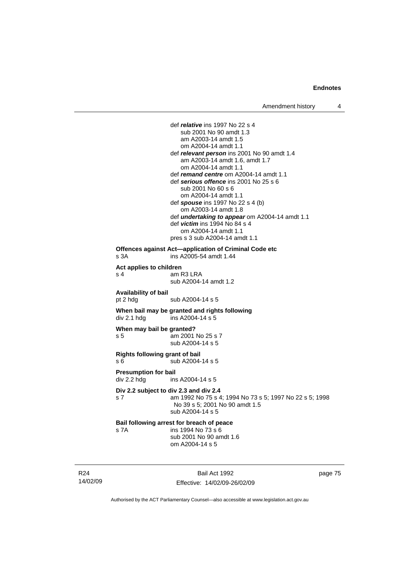def *relative* ins 1997 No 22 s 4 sub 2001 No 90 amdt 1.3 am A2003-14 amdt 1.5 om A2004-14 amdt 1.1 def *relevant person* ins 2001 No 90 amdt 1.4 am A2003-14 amdt 1.6, amdt 1.7 om A2004-14 amdt 1.1 def *remand centre* om A2004-14 amdt 1.1 def *serious offence* ins 2001 No 25 s 6 sub 2001 No 60 s 6 om A2004-14 amdt 1.1 def *spouse* ins 1997 No 22 s 4 (b) om A2003-14 amdt 1.8 def *undertaking to appear* om A2004-14 amdt 1.1 def *victim* ins 1994 No 84 s 4 om A2004-14 amdt 1.1 pres s 3 sub A2004-14 amdt 1.1 **Offences against Act—application of Criminal Code etc**  s 3A ins A2005-54 amdt 1.44 **Act applies to children**  am R3 LRA sub A2004-14 amdt 1.2 **Availability of bail**  pt 2 hdg sub A2004-14 s 5 **When bail may be granted and rights following div 2.1 hdg ins A2004-14 s 5**  $ins$  A2004-14 s 5 **When may bail be granted?**  s 5 am 2001 No 25 s 7 sub A2004-14 s 5 **Rights following grant of bail**  s 6 sub A2004-14 s 5 **Presumption for bail**  div 2.2 hdg ins A2004-14 s 5 **Div 2.2 subject to div 2.3 and div 2.4** s 7 am 1992 No 75 s 4; 1994 No 73 s 5; 1997 No 22 s 5; 1998 No 39 s 5; 2001 No 90 amdt 1.5 sub A2004-14 s 5 **Bail following arrest for breach of peace** s 7A ins 1994 No 73 s 6 sub 2001 No 90 amdt 1.6 om A2004-14 s 5

R24 14/02/09

Bail Act 1992 Effective: 14/02/09-26/02/09 page 75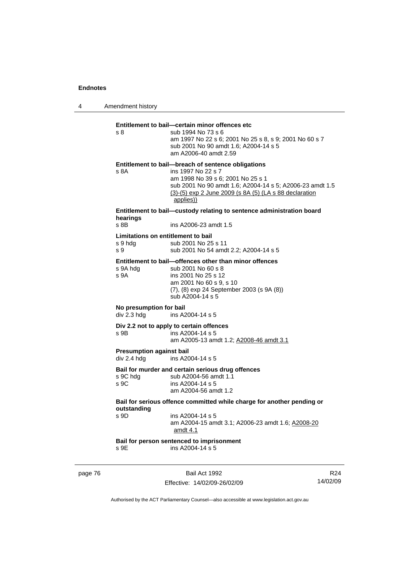4 Amendment history page 76 Bail Act 1992 R24 14/02/09 **Entitlement to bail—certain minor offences etc** s 8 sub 1994 No 73 s 6 am 1997 No 22 s 6; 2001 No 25 s 8, s 9; 2001 No 60 s 7 sub 2001 No 90 amdt 1.6; A2004-14 s 5 am A2006-40 amdt 2.59 **Entitlement to bail—breach of sentence obligations** s 8A ins 1997 No 22 s 7 am 1998 No 39 s 6; 2001 No 25 s 1 sub 2001 No 90 amdt 1.6; A2004-14 s 5; A2006-23 amdt 1.5 (3)-(5) exp 2 June 2009 (s 8A (5) (LA s 88 declaration applies)) **Entitlement to bail—custody relating to sentence administration board hearings** s 8B ins A2006-23 amdt 1.5 **Limitations on entitlement to bail**  s 9 hdg sub 2001 No 25 s 11 s 9 sub 2001 No 54 amdt 2.2; A2004-14 s 5 **Entitlement to bail—offences other than minor offences**  s 9A hdg sub 2001 No 60 s 8 s 9A ins 2001 No 25 s 12 am 2001 No 60 s 9, s 10 (7), (8) exp 24 September 2003 (s 9A (8)) sub A2004-14 s 5 **No presumption for bail**  div 2.3 hdg ins A2004-14 s 5 **Div 2.2 not to apply to certain offences**   $\frac{1}{2}$  ins A2004-14 s 5 am A2005-13 amdt 1.2; A2008-46 amdt 3.1 **Presumption against bail**  div 2.4 hdg ins A2004-14 s 5 **Bail for murder and certain serious drug offences**  s 9C hdg sub A2004-56 amdt 1.1<br>s 9C ins A2004-14 s 5 ins A2004-14 s 5 am A2004-56 amdt 1.2 **Bail for serious offence committed while charge for another pending or outstanding**   $ins A2004-14 s 5$  am A2004-15 amdt 3.1; A2006-23 amdt 1.6; A2008-20 amdt 4.1 **Bail for person sentenced to imprisonment**  s 9E ins A2004-14 s 5

Effective: 14/02/09-26/02/09 Authorised by the ACT Parliamentary Counsel—also accessible at www.legislation.act.gov.au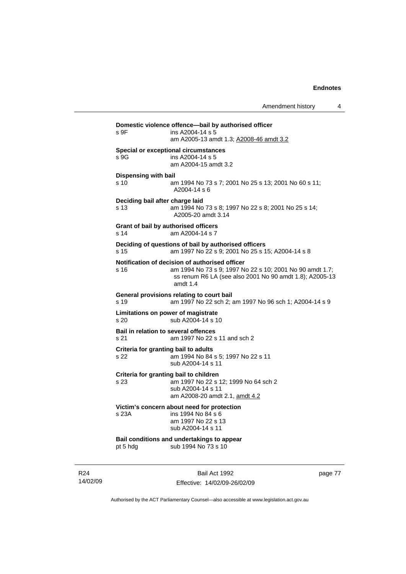| s 9F                                    | Domestic violence offence—bail by authorised officer<br>ins A2004-14 s 5<br>am A2005-13 amdt 1.3; A2008-46 amdt 3.2                                                                 |
|-----------------------------------------|-------------------------------------------------------------------------------------------------------------------------------------------------------------------------------------|
| s 9G                                    | Special or exceptional circumstances<br>ins A2004-14 s 5<br>am A2004-15 amdt 3.2                                                                                                    |
| <b>Dispensing with bail</b><br>s 10     | am 1994 No 73 s 7; 2001 No 25 s 13; 2001 No 60 s 11;<br>A2004-14 s 6                                                                                                                |
| Deciding bail after charge laid<br>s 13 | am 1994 No 73 s 8; 1997 No 22 s 8; 2001 No 25 s 14;<br>A2005-20 amdt 3.14                                                                                                           |
| s 14                                    | Grant of bail by authorised officers<br>am A2004-14 s 7                                                                                                                             |
| s 15                                    | Deciding of questions of bail by authorised officers<br>am 1997 No 22 s 9; 2001 No 25 s 15; A2004-14 s 8                                                                            |
| s 16                                    | Notification of decision of authorised officer<br>am 1994 No 73 s 9; 1997 No 22 s 10; 2001 No 90 amdt 1.7;<br>ss renum R6 LA (see also 2001 No 90 amdt 1.8); A2005-13<br>amdt $1.4$ |
| s 19                                    | General provisions relating to court bail<br>am 1997 No 22 sch 2; am 1997 No 96 sch 1; A2004-14 s 9                                                                                 |
| s 20                                    | Limitations on power of magistrate<br>sub A2004-14 s 10                                                                                                                             |
| s 21                                    | <b>Bail in relation to several offences</b><br>am 1997 No 22 s 11 and sch 2                                                                                                         |
| s 22                                    | Criteria for granting bail to adults<br>am 1994 No 84 s 5; 1997 No 22 s 11<br>sub A2004-14 s 11                                                                                     |
| s 23                                    | Criteria for granting bail to children<br>am 1997 No 22 s 12; 1999 No 64 sch 2<br>sub A2004-14 s 11<br>am A2008-20 amdt 2.1, amdt 4.2                                               |
| s 23A                                   | Victim's concern about need for protection<br>ins 1994 No 84 s 6<br>am 1997 No 22 s 13<br>sub A2004-14 s 11                                                                         |
|                                         |                                                                                                                                                                                     |

R24 14/02/09

Bail Act 1992 Effective: 14/02/09-26/02/09 page 77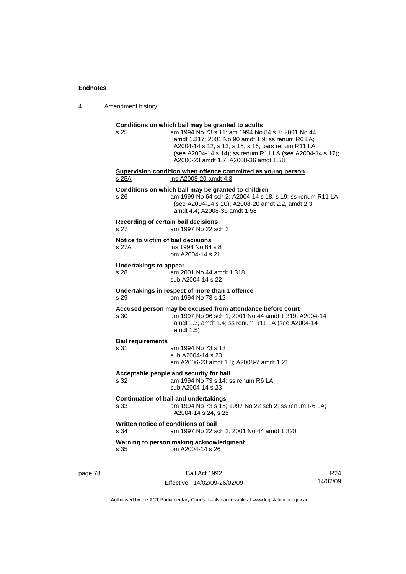| 4 | Amendment history |
|---|-------------------|
|---|-------------------|

| s 25                                         | Conditions on which bail may be granted to adults<br>am 1994 No 73 s 11; am 1994 No 84 s 7; 2001 No 44<br>amdt 1.317; 2001 No 90 amdt 1.9; ss renum R6 LA;<br>A2004-14 s 12, s 13, s 15, s 16; pars renum R11 LA<br>(see A2004-14 s 14); ss renum R11 LA (see A2004-14 s 17);<br>A2006-23 amdt 1.7; A2008-36 amdt 1.58 |
|----------------------------------------------|------------------------------------------------------------------------------------------------------------------------------------------------------------------------------------------------------------------------------------------------------------------------------------------------------------------------|
| s 25A                                        | Supervision condition when offence committed as young person<br>ins A2008-20 amdt 4.3                                                                                                                                                                                                                                  |
| s 26                                         | Conditions on which bail may be granted to children<br>am 1999 No 64 sch 2; A2004-14 s 18, s 19; ss renum R11 LA<br>(see A2004-14 s 20); A2008-20 amdt 2.2, amdt 2.3,<br>amdt 4.4; A2008-36 amdt 1.58                                                                                                                  |
| Recording of certain bail decisions<br>s 27  | am 1997 No 22 sch 2                                                                                                                                                                                                                                                                                                    |
| Notice to victim of bail decisions<br>s 27A  | ins 1994 No 84 s 8<br>om A2004-14 s 21                                                                                                                                                                                                                                                                                 |
| <b>Undertakings to appear</b><br>s 28        | am 2001 No 44 amdt 1.318<br>sub A2004-14 s 22                                                                                                                                                                                                                                                                          |
| s 29                                         | Undertakings in respect of more than 1 offence<br>om 1994 No 73 s 12                                                                                                                                                                                                                                                   |
| s 30                                         | Accused person may be excused from attendance before court<br>am 1997 No 96 sch 1; 2001 No 44 amdt 1.319; A2004-14<br>amdt 1.3, amdt 1.4; ss renum R11 LA (see A2004-14<br>amdt $1.5$                                                                                                                                  |
| <b>Bail requirements</b><br>s 31             | am 1994 No 73 s 13<br>sub A2004-14 s 23<br>am A2006-23 amdt 1.8; A2008-7 amdt 1.21                                                                                                                                                                                                                                     |
| s 32                                         | Acceptable people and security for bail<br>am 1994 No 73 s 14; ss renum R6 LA<br>sub A2004-14 s 23                                                                                                                                                                                                                     |
| s 33                                         | <b>Continuation of bail and undertakings</b><br>am 1994 No 73 s 15; 1997 No 22 sch 2; ss renum R6 LA;<br>A2004-14 s 24, s 25                                                                                                                                                                                           |
| Written notice of conditions of bail<br>s 34 | am 1997 No 22 sch 2; 2001 No 44 amdt 1.320                                                                                                                                                                                                                                                                             |
| s 35                                         | Warning to person making acknowledgment<br>om A2004-14 s 26                                                                                                                                                                                                                                                            |

page 78 Bail Act 1992

Effective: 14/02/09-26/02/09

R24 14/02/09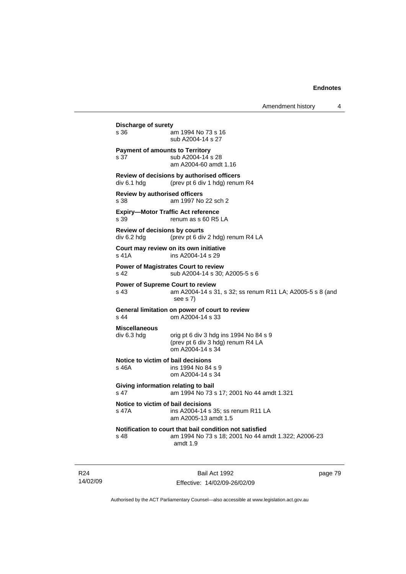| s 36                                         | am 1994 No 73 s 16<br>sub A2004-14 s 27                                                                                    |
|----------------------------------------------|----------------------------------------------------------------------------------------------------------------------------|
| s 37                                         | <b>Payment of amounts to Territory</b><br>sub A2004-14 s 28<br>am A2004-60 amdt 1.16                                       |
| div 6.1 hdg                                  | Review of decisions by authorised officers<br>(prev pt 6 div 1 hdg) renum R4                                               |
| <b>Review by authorised officers</b><br>s 38 | am 1997 No 22 sch 2                                                                                                        |
| s 39                                         | <b>Expiry-Motor Traffic Act reference</b><br>renum as s 60 R5 LA                                                           |
| Review of decisions by courts<br>div 6.2 hda | (prev pt 6 div 2 hdg) renum R4 LA                                                                                          |
| $s$ 41 $A$                                   | Court may review on its own initiative<br>ins A2004-14 s 29                                                                |
| s <sub>42</sub>                              | <b>Power of Magistrates Court to review</b><br>sub A2004-14 s 30; A2005-5 s 6                                              |
| s <sub>43</sub>                              | <b>Power of Supreme Court to review</b><br>am A2004-14 s 31, s 32; ss renum R11 LA; A2005-5 s 8 (and<br>see s 7)           |
| s 44                                         | General limitation on power of court to review<br>om A2004-14 s 33                                                         |
| <b>Miscellaneous</b><br>div 6.3 hdg          | orig pt 6 div 3 hdg ins 1994 No 84 s 9<br>(prev pt 6 div 3 hdg) renum R4 LA<br>om A2004-14 s 34                            |
| s 46A                                        | Notice to victim of bail decisions<br>ins 1994 No 84 s 9<br>om A2004-14 s 34                                               |
| s <sub>47</sub>                              | Giving information relating to bail<br>am 1994 No 73 s 17; 2001 No 44 amdt 1.321                                           |
| s 47A                                        | Notice to victim of bail decisions<br>ins A2004-14 s 35; ss renum R11 LA<br>am A2005-13 amdt 1.5                           |
| s 48                                         | Notification to court that bail condition not satisfied<br>am 1994 No 73 s 18; 2001 No 44 amdt 1.322; A2006-23<br>amdt 1.9 |

R24 14/02/09

Bail Act 1992 Effective: 14/02/09-26/02/09 page 79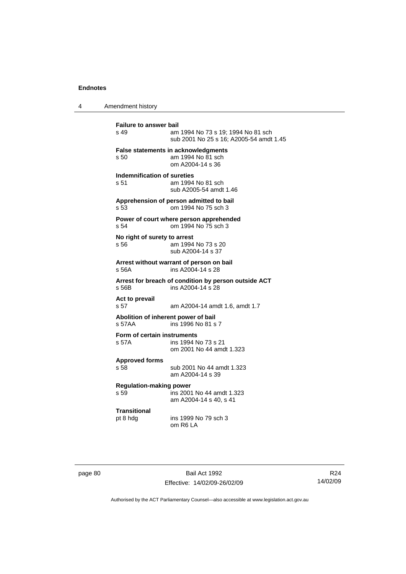4 Amendment history

**Failure to answer bail**<br>s 49 am am 1994 No 73 s 19: 1994 No 81 sch sub 2001 No 25 s 16; A2005-54 amdt 1.45 **False statements in acknowledgments** s 50 am 1994 No 81 sch om A2004-14 s 36 **Indemnification of sureties** s 51 am 1994 No 81 sch sub A2005-54 amdt 1.46 **Apprehension of person admitted to bail** s 53 om 1994 No 75 sch 3 **Power of court where person apprehended** s 54 om 1994 No 75 sch 3 **No right of surety to arrest** s 56 am 1994 No 73 s 20 sub A2004-14 s 37 **Arrest without warrant of person on bail** s 56A ins A2004-14 s 28 **Arrest for breach of condition by person outside ACT** ins A2004-14 s 28 **Act to prevail**  s 57 am A2004-14 amdt 1.6, amdt 1.7 **Abolition of inherent power of bail** s 57AA ins 1996 No 81 s 7 **Form of certain instruments** s 57A ins 1994 No 73 s 21 om 2001 No 44 amdt 1.323 **Approved forms**  s 58 sub 2001 No 44 amdt 1.323 am A2004-14 s 39 **Regulation-making power**   $\overline{5}$  ins 2001 No 44 amdt 1.323 am A2004-14 s 40, s 41 **Transitional** pt 8 hdg ins 1999 No 79 sch 3 om R6 LA

page 80 Bail Act 1992 Effective: 14/02/09-26/02/09

R24 14/02/09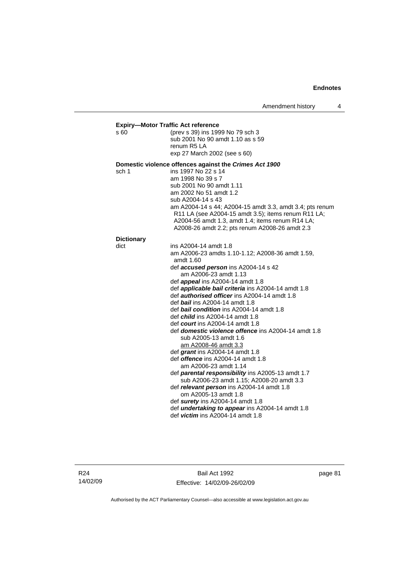| s 60              | (prev s 39) ins 1999 No 79 sch 3                                                      |
|-------------------|---------------------------------------------------------------------------------------|
|                   | sub 2001 No 90 amdt 1.10 as s 59                                                      |
|                   | renum R5 LA                                                                           |
|                   | exp 27 March 2002 (see s 60)                                                          |
|                   | Domestic violence offences against the Crimes Act 1900                                |
| sch 1             | ins 1997 No 22 s 14                                                                   |
|                   | am 1998 No 39 s 7                                                                     |
|                   | sub 2001 No 90 amdt 1.11                                                              |
|                   | am 2002 No 51 amdt 1.2<br>sub A2004-14 s 43                                           |
|                   | am A2004-14 s 44; A2004-15 amdt 3.3, amdt 3.4; pts renum                              |
|                   | R11 LA (see A2004-15 amdt 3.5); items renum R11 LA;                                   |
|                   | A2004-56 amdt 1.3, amdt 1.4; items renum R14 LA;                                      |
|                   | A2008-26 amdt 2.2; pts renum A2008-26 amdt 2.3                                        |
| <b>Dictionary</b> |                                                                                       |
| dict              | ins A2004-14 amdt 1.8                                                                 |
|                   | am A2006-23 amdts 1.10-1.12; A2008-36 amdt 1.59,<br>amdt 1.60                         |
|                   | def accused person ins A2004-14 s 42                                                  |
|                   | am A2006-23 amdt 1.13                                                                 |
|                   | def <b>appeal</b> ins A2004-14 amdt 1.8                                               |
|                   | def <i>applicable bail criteria</i> ins A2004-14 amdt 1.8                             |
|                   | def <b>authorised officer</b> ins A2004-14 amdt 1.8<br>def bail ins A2004-14 amdt 1.8 |
|                   | def <b>bail condition</b> ins A2004-14 amdt 1.8                                       |
|                   | def <i>child</i> ins A2004-14 amdt 1.8                                                |
|                   | def <i>court</i> ins A2004-14 amdt 1.8                                                |
|                   | def <b>domestic violence offence</b> ins A2004-14 amdt 1.8                            |
|                   | sub A2005-13 amdt 1.6                                                                 |
|                   | am A2008-46 amdt 3.3                                                                  |
|                   | def grant ins A2004-14 amdt 1.8                                                       |
|                   | def <i>offence</i> ins A2004-14 amdt 1.8                                              |
|                   | am A2006-23 amdt 1.14                                                                 |
|                   | def parental responsibility ins A2005-13 amdt 1.7                                     |
|                   | sub A2006-23 amdt 1.15; A2008-20 amdt 3.3                                             |
|                   | def relevant person ins A2004-14 amdt 1.8<br>om A2005-13 amdt 1.8                     |
|                   | def surety ins A2004-14 amdt 1.8                                                      |
|                   | def <i>undertaking to appear</i> ins A2004-14 amdt 1.8                                |
|                   | def <i>victim</i> ins $A2004-14$ amdt 1.8                                             |

R24 14/02/09

Bail Act 1992 Effective: 14/02/09-26/02/09 page 81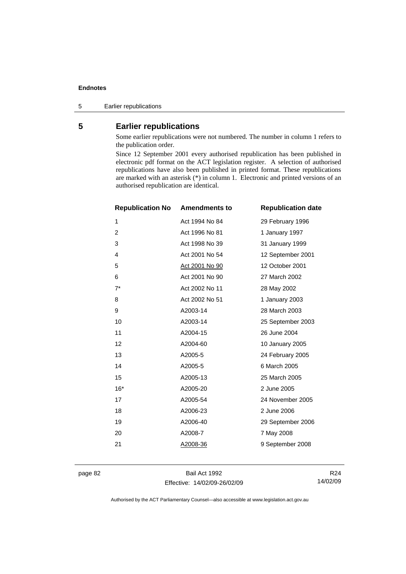5 Earlier republications

## **5 Earlier republications**

Some earlier republications were not numbered. The number in column 1 refers to the publication order.

Since 12 September 2001 every authorised republication has been published in electronic pdf format on the ACT legislation register. A selection of authorised republications have also been published in printed format. These republications are marked with an asterisk (\*) in column 1. Electronic and printed versions of an authorised republication are identical.

| <b>Republication No</b> | <b>Amendments to</b>  | <b>Republication date</b> |
|-------------------------|-----------------------|---------------------------|
| 1                       | Act 1994 No 84        | 29 February 1996          |
| $\overline{2}$          | Act 1996 No 81        | 1 January 1997            |
| 3                       | Act 1998 No 39        | 31 January 1999           |
| 4                       | Act 2001 No 54        | 12 September 2001         |
| 5                       | <u>Act 2001 No 90</u> | 12 October 2001           |
| 6                       | Act 2001 No 90        | 27 March 2002             |
| $7^*$                   | Act 2002 No 11        | 28 May 2002               |
| 8                       | Act 2002 No 51        | 1 January 2003            |
| 9                       | A2003-14              | 28 March 2003             |
| 10                      | A2003-14              | 25 September 2003         |
| 11                      | A2004-15              | 26 June 2004              |
| 12                      | A2004-60              | 10 January 2005           |
| 13                      | A2005-5               | 24 February 2005          |
| 14                      | A2005-5               | 6 March 2005              |
| 15                      | A2005-13              | 25 March 2005             |
| $16*$                   | A2005-20              | 2 June 2005               |
| 17                      | A2005-54              | 24 November 2005          |
| 18                      | A2006-23              | 2 June 2006               |
| 19                      | A2006-40              | 29 September 2006         |
| 20                      | A2008-7               | 7 May 2008                |
| 21                      | A2008-36              | 9 September 2008          |
|                         |                       |                           |

page 82 Bail Act 1992 Effective: 14/02/09-26/02/09

R24 14/02/09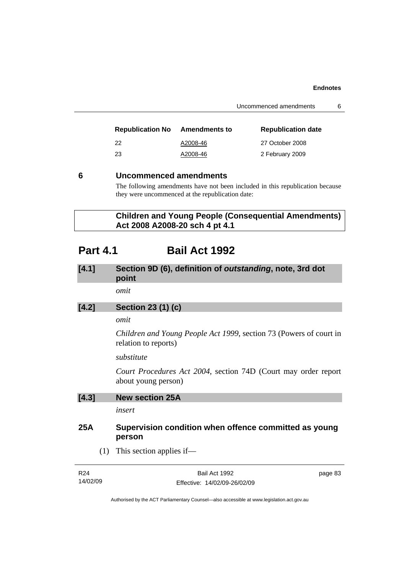| <b>Republication No</b> | <b>Amendments to</b> | <b>Republication date</b> |
|-------------------------|----------------------|---------------------------|
| -22                     | A2008-46             | 27 October 2008           |
| -23                     | A2008-46             | 2 February 2009           |

## **6 Uncommenced amendments**

The following amendments have not been included in this republication because they were uncommenced at the republication date:

 **Children and Young People (Consequential Amendments) Act 2008 A2008-20 sch 4 pt 4.1** 

## **Part 4.1 Bail Act 1992**

## **[4.1] Section 9D (6), definition of** *outstanding***, note, 3rd dot point**

*omit* 

## **[4.2] Section 23 (1) (c)**

## *omit*

*Children and Young People Act 1999*, section 73 (Powers of court in relation to reports)

*substitute* 

*Court Procedures Act 2004*, section 74D (Court may order report about young person)

| [4.3] | <b>New section 25A</b> |  |
|-------|------------------------|--|
|       |                        |  |

*insert* 

## **25A Supervision condition when offence committed as young person**

(1) This section applies if—

| R <sub>24</sub> | Bail Act 1992                | page 83 |
|-----------------|------------------------------|---------|
| 14/02/09        | Effective: 14/02/09-26/02/09 |         |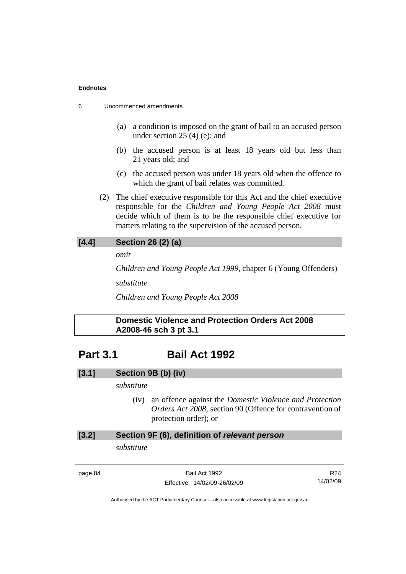| 6 | Uncommenced amendments |  |
|---|------------------------|--|
|---|------------------------|--|

- (a) a condition is imposed on the grant of bail to an accused person under section 25 (4) (e); and
- (b) the accused person is at least 18 years old but less than 21 years old; and
- (c) the accused person was under 18 years old when the offence to which the grant of bail relates was committed.
- (2) The chief executive responsible for this Act and the chief executive responsible for the *Children and Young People Act 2008* must decide which of them is to be the responsible chief executive for matters relating to the supervision of the accused person.

## **[4.4] Section 26 (2) (a)**

*omit* 

*Children and Young People Act 1999*, chapter 6 (Young Offenders)

*substitute* 

*Children and Young People Act 2008*

## **Domestic Violence and Protection Orders Act 2008 A2008-46 sch 3 pt 3.1**

## **Part 3.1 Bail Act 1992**

## **[3.1] Section 9B (b) (iv)**

## *substitute*

 (iv) an offence against the *Domestic Violence and Protection Orders Act 2008*, section 90 (Offence for contravention of protection order); or

## **[3.2] Section 9F (6), definition of** *relevant person*

*substitute* 

page 84 Bail Act 1992 Effective: 14/02/09-26/02/09

R24 14/02/09